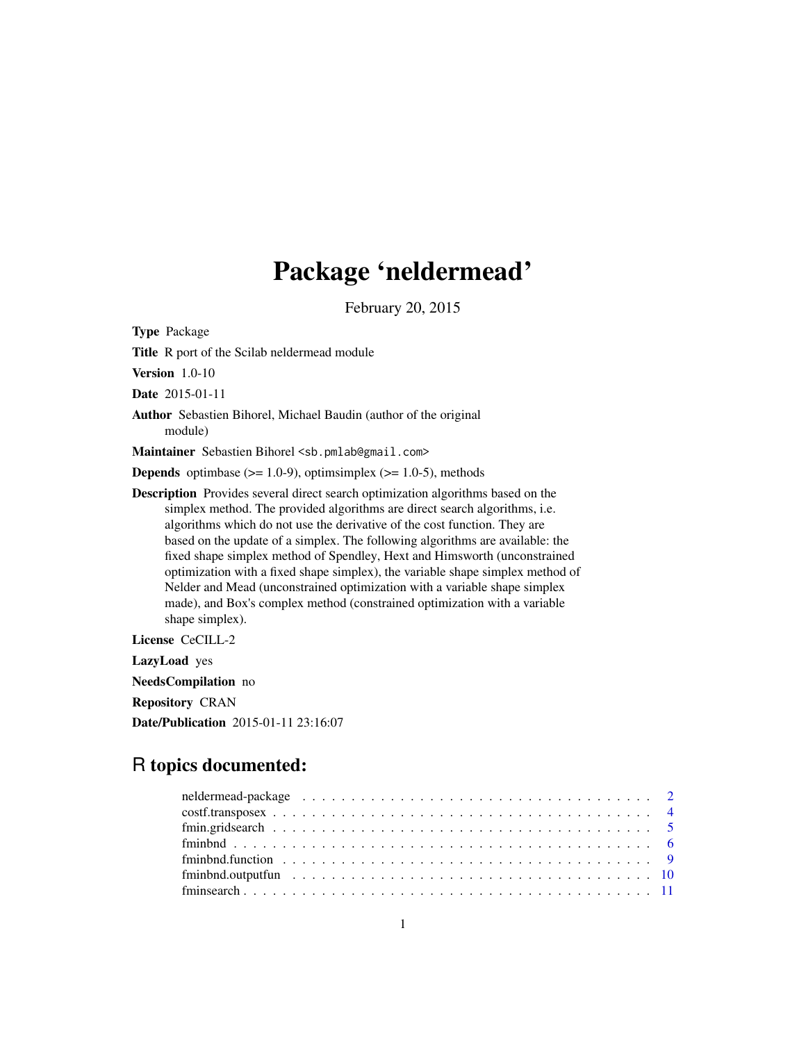# Package 'neldermead'

February 20, 2015

<span id="page-0-0"></span>Type Package

Title R port of the Scilab neldermead module

Version 1.0-10

Date 2015-01-11

Author Sebastien Bihorel, Michael Baudin (author of the original module)

Maintainer Sebastien Bihorel <sb.pmlab@gmail.com>

**Depends** optimbase  $(>= 1.0-9)$ , optimsimplex  $(>= 1.0-5)$ , methods

Description Provides several direct search optimization algorithms based on the simplex method. The provided algorithms are direct search algorithms, i.e. algorithms which do not use the derivative of the cost function. They are based on the update of a simplex. The following algorithms are available: the fixed shape simplex method of Spendley, Hext and Himsworth (unconstrained optimization with a fixed shape simplex), the variable shape simplex method of Nelder and Mead (unconstrained optimization with a variable shape simplex made), and Box's complex method (constrained optimization with a variable shape simplex).

License CeCILL-2

LazyLoad yes

NeedsCompilation no

Repository CRAN

Date/Publication 2015-01-11 23:16:07

# R topics documented:

| $fminbnd.function \ldots \ldots \ldots \ldots \ldots \ldots \ldots \ldots \ldots \ldots \ldots \ldots \ldots$ |  |
|---------------------------------------------------------------------------------------------------------------|--|
|                                                                                                               |  |
|                                                                                                               |  |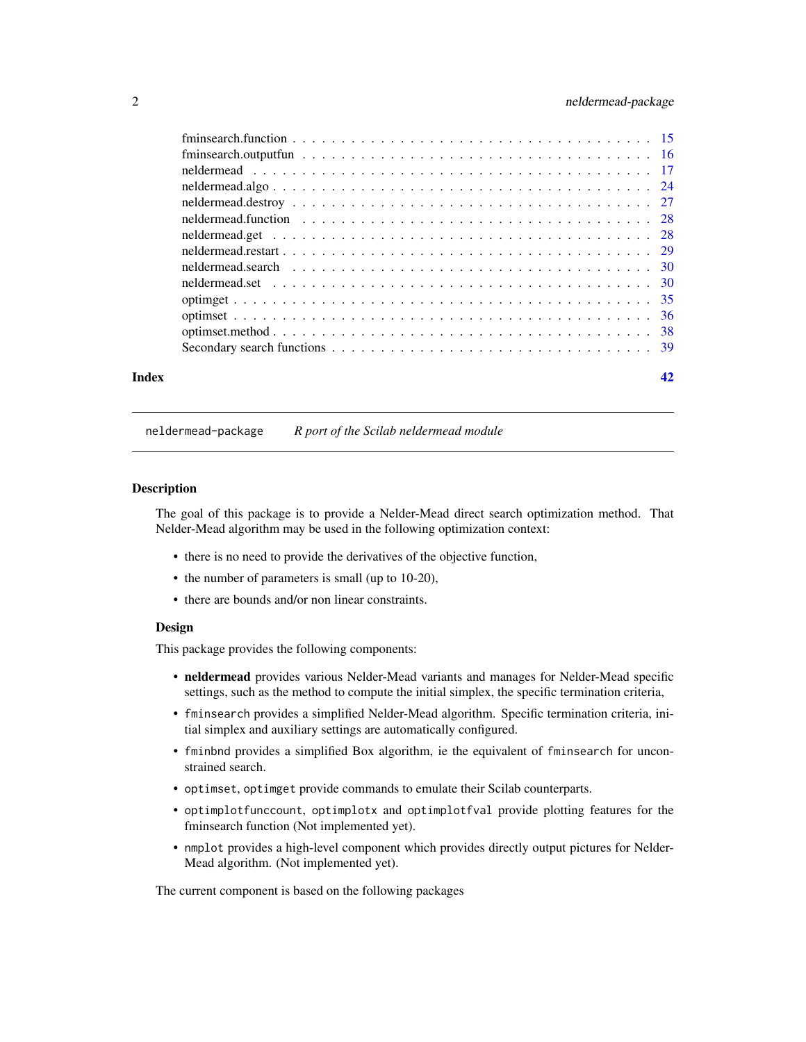# <span id="page-1-0"></span>2 neldermead-package

| Index | 42 |
|-------|----|
|       |    |

neldermead-package *R port of the Scilab neldermead module*

# Description

The goal of this package is to provide a Nelder-Mead direct search optimization method. That Nelder-Mead algorithm may be used in the following optimization context:

- there is no need to provide the derivatives of the objective function,
- the number of parameters is small (up to 10-20),
- there are bounds and/or non linear constraints.

# Design

This package provides the following components:

- neldermead provides various Nelder-Mead variants and manages for Nelder-Mead specific settings, such as the method to compute the initial simplex, the specific termination criteria,
- fminsearch provides a simplified Nelder-Mead algorithm. Specific termination criteria, initial simplex and auxiliary settings are automatically configured.
- fminbnd provides a simplified Box algorithm, ie the equivalent of fminsearch for unconstrained search.
- optimset, optimget provide commands to emulate their Scilab counterparts.
- optimplotfunccount, optimplotx and optimplotfval provide plotting features for the fminsearch function (Not implemented yet).
- nmplot provides a high-level component which provides directly output pictures for Nelder-Mead algorithm. (Not implemented yet).

The current component is based on the following packages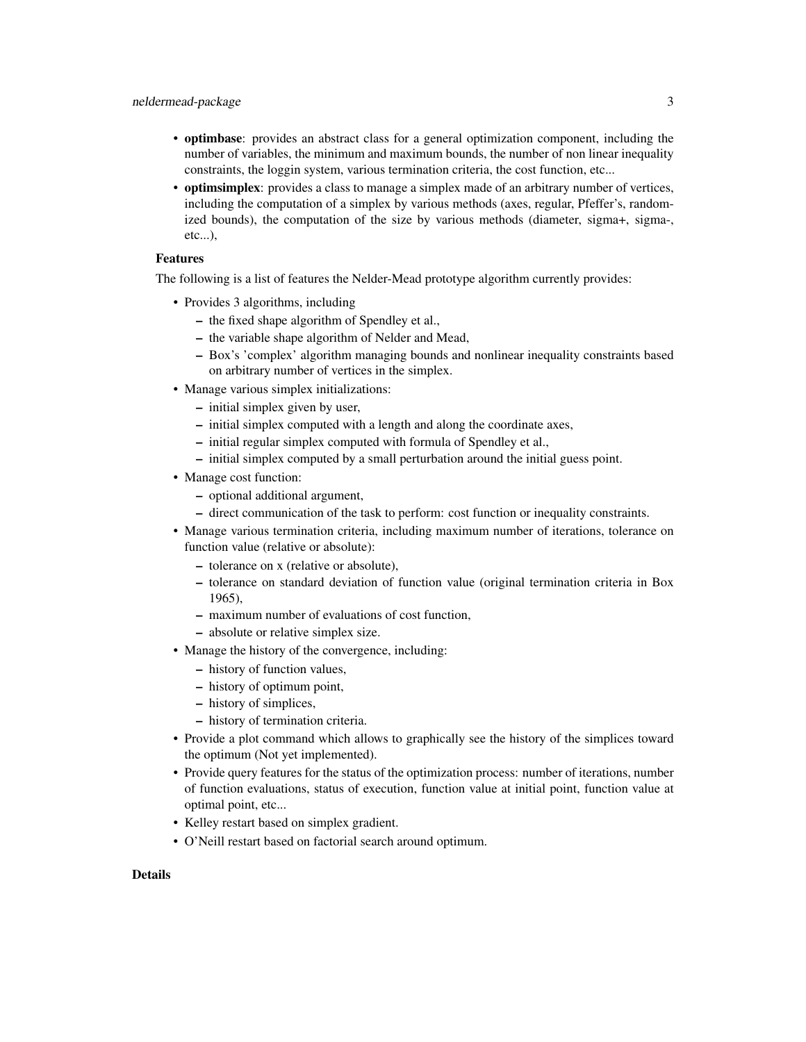- optimbase: provides an abstract class for a general optimization component, including the number of variables, the minimum and maximum bounds, the number of non linear inequality constraints, the loggin system, various termination criteria, the cost function, etc...
- optimsimplex: provides a class to manage a simplex made of an arbitrary number of vertices, including the computation of a simplex by various methods (axes, regular, Pfeffer's, randomized bounds), the computation of the size by various methods (diameter, sigma+, sigma-, etc...),

# Features

The following is a list of features the Nelder-Mead prototype algorithm currently provides:

- Provides 3 algorithms, including
	- the fixed shape algorithm of Spendley et al.,
	- the variable shape algorithm of Nelder and Mead,
	- Box's 'complex' algorithm managing bounds and nonlinear inequality constraints based on arbitrary number of vertices in the simplex.
- Manage various simplex initializations:
	- initial simplex given by user,
	- initial simplex computed with a length and along the coordinate axes,
	- initial regular simplex computed with formula of Spendley et al.,
	- initial simplex computed by a small perturbation around the initial guess point.
- Manage cost function:
	- optional additional argument,
	- direct communication of the task to perform: cost function or inequality constraints.
- Manage various termination criteria, including maximum number of iterations, tolerance on function value (relative or absolute):
	- tolerance on x (relative or absolute),
	- tolerance on standard deviation of function value (original termination criteria in Box 1965),
	- maximum number of evaluations of cost function,
	- absolute or relative simplex size.
- Manage the history of the convergence, including:
	- history of function values,
	- history of optimum point,
	- history of simplices,
	- history of termination criteria.
- Provide a plot command which allows to graphically see the history of the simplices toward the optimum (Not yet implemented).
- Provide query features for the status of the optimization process: number of iterations, number of function evaluations, status of execution, function value at initial point, function value at optimal point, etc...
- Kelley restart based on simplex gradient.
- O'Neill restart based on factorial search around optimum.

#### Details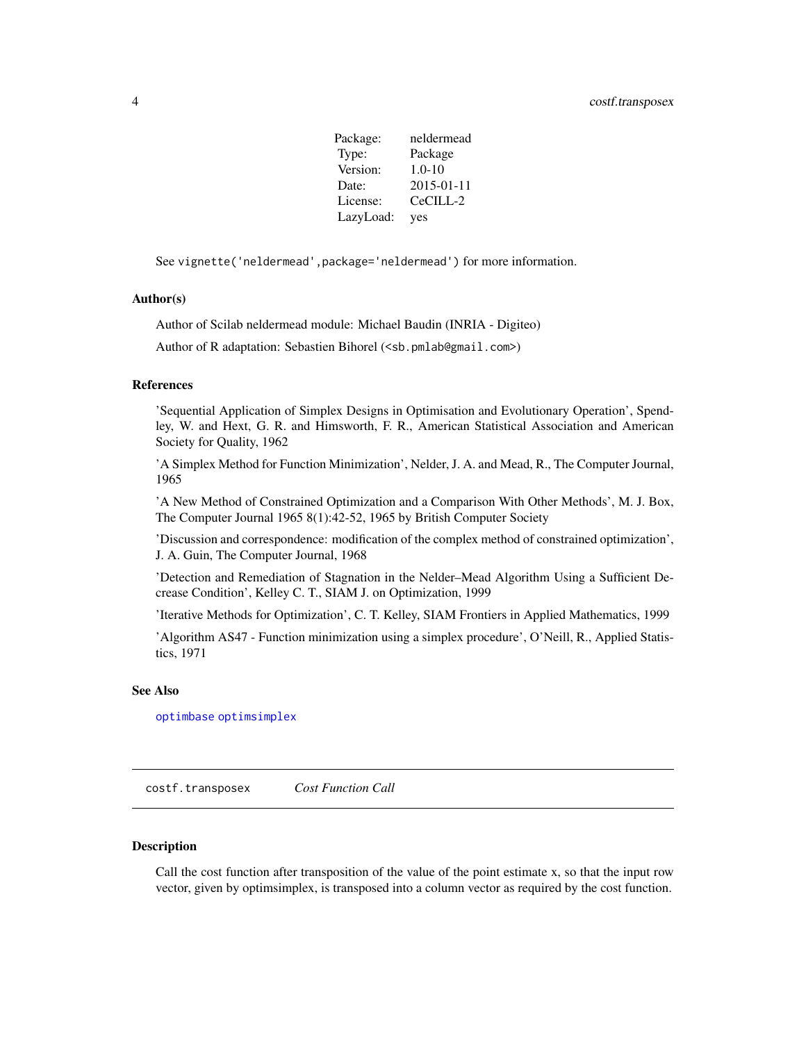| Package:  | neldermead       |
|-----------|------------------|
| Type:     | Package          |
| Version:  | $1.0 - 10$       |
| Date:     | $2015 - 01 - 11$ |
| License:  | CeCILL-2         |
| LazyLoad: | yes              |

<span id="page-3-0"></span>See vignette('neldermead',package='neldermead') for more information.

#### Author(s)

Author of Scilab neldermead module: Michael Baudin (INRIA - Digiteo)

Author of R adaptation: Sebastien Bihorel (<sb.pmlab@gmail.com>)

#### References

'Sequential Application of Simplex Designs in Optimisation and Evolutionary Operation', Spendley, W. and Hext, G. R. and Himsworth, F. R., American Statistical Association and American Society for Quality, 1962

'A Simplex Method for Function Minimization', Nelder, J. A. and Mead, R., The Computer Journal, 1965

'A New Method of Constrained Optimization and a Comparison With Other Methods', M. J. Box, The Computer Journal 1965 8(1):42-52, 1965 by British Computer Society

'Discussion and correspondence: modification of the complex method of constrained optimization', J. A. Guin, The Computer Journal, 1968

'Detection and Remediation of Stagnation in the Nelder–Mead Algorithm Using a Sufficient Decrease Condition', Kelley C. T., SIAM J. on Optimization, 1999

'Iterative Methods for Optimization', C. T. Kelley, SIAM Frontiers in Applied Mathematics, 1999

'Algorithm AS47 - Function minimization using a simplex procedure', O'Neill, R., Applied Statistics, 1971

# See Also

[optimbase](#page-0-0) [optimsimplex](#page-0-0)

costf.transposex *Cost Function Call*

#### Description

Call the cost function after transposition of the value of the point estimate x, so that the input row vector, given by optimsimplex, is transposed into a column vector as required by the cost function.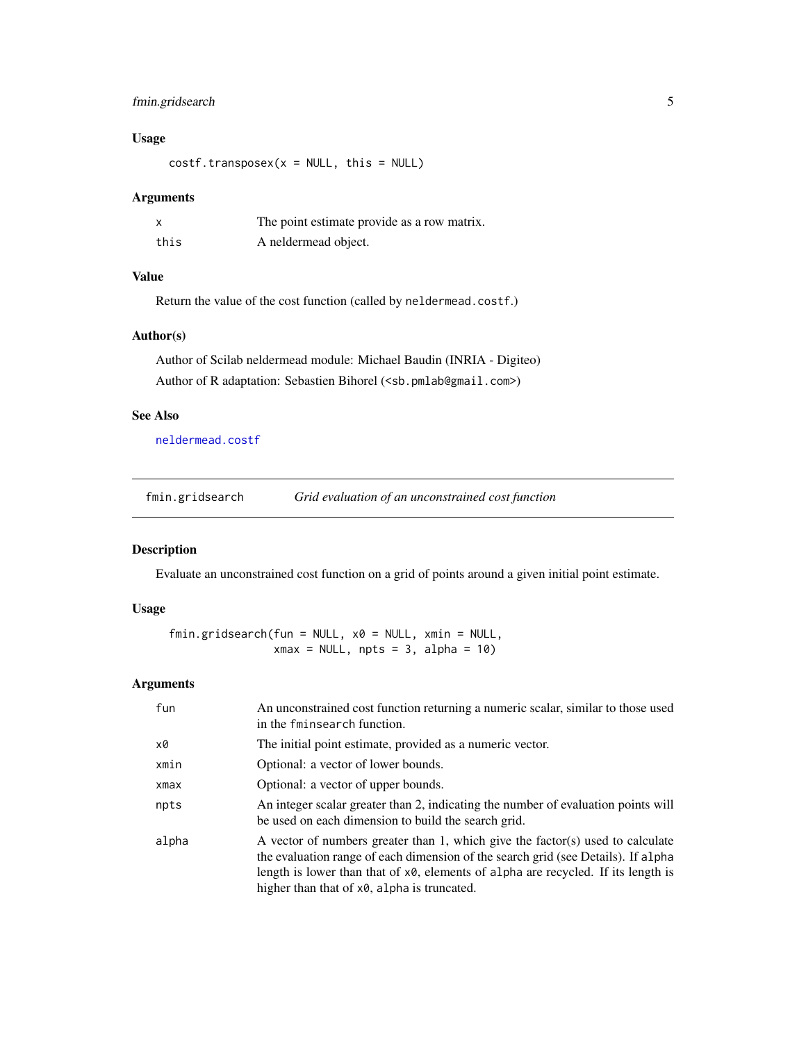# <span id="page-4-0"></span>fmin.gridsearch 5

# Usage

 $costf.transpose(x = NULL, this = NULL)$ 

# Arguments

|      | The point estimate provide as a row matrix. |
|------|---------------------------------------------|
| this | A neldermead object.                        |

# Value

Return the value of the cost function (called by neldermead.costf.)

#### Author(s)

Author of Scilab neldermead module: Michael Baudin (INRIA - Digiteo) Author of R adaptation: Sebastien Bihorel (<sb.pmlab@gmail.com>)

# See Also

[neldermead.costf](#page-38-1)

fmin.gridsearch *Grid evaluation of an unconstrained cost function*

# Description

Evaluate an unconstrained cost function on a grid of points around a given initial point estimate.

# Usage

fmin.gridsearch(fun = NULL, x0 = NULL, xmin = NULL,  $x$ max = NULL, npts = 3, alpha = 10)

# Arguments

| fun   | An unconstrained cost function returning a numeric scalar, similar to those used<br>in the fminsearch function.                                                                                                                                                                                         |
|-------|---------------------------------------------------------------------------------------------------------------------------------------------------------------------------------------------------------------------------------------------------------------------------------------------------------|
| x0    | The initial point estimate, provided as a numeric vector.                                                                                                                                                                                                                                               |
| xmin  | Optional: a vector of lower bounds.                                                                                                                                                                                                                                                                     |
| xmax  | Optional: a vector of upper bounds.                                                                                                                                                                                                                                                                     |
| npts  | An integer scalar greater than 2, indicating the number of evaluation points will<br>be used on each dimension to build the search grid.                                                                                                                                                                |
| alpha | A vector of numbers greater than 1, which give the factor(s) used to calculate<br>the evaluation range of each dimension of the search grid (see Details). If alpha<br>length is lower than that of x0, elements of alpha are recycled. If its length is<br>higher than that of x0, alpha is truncated. |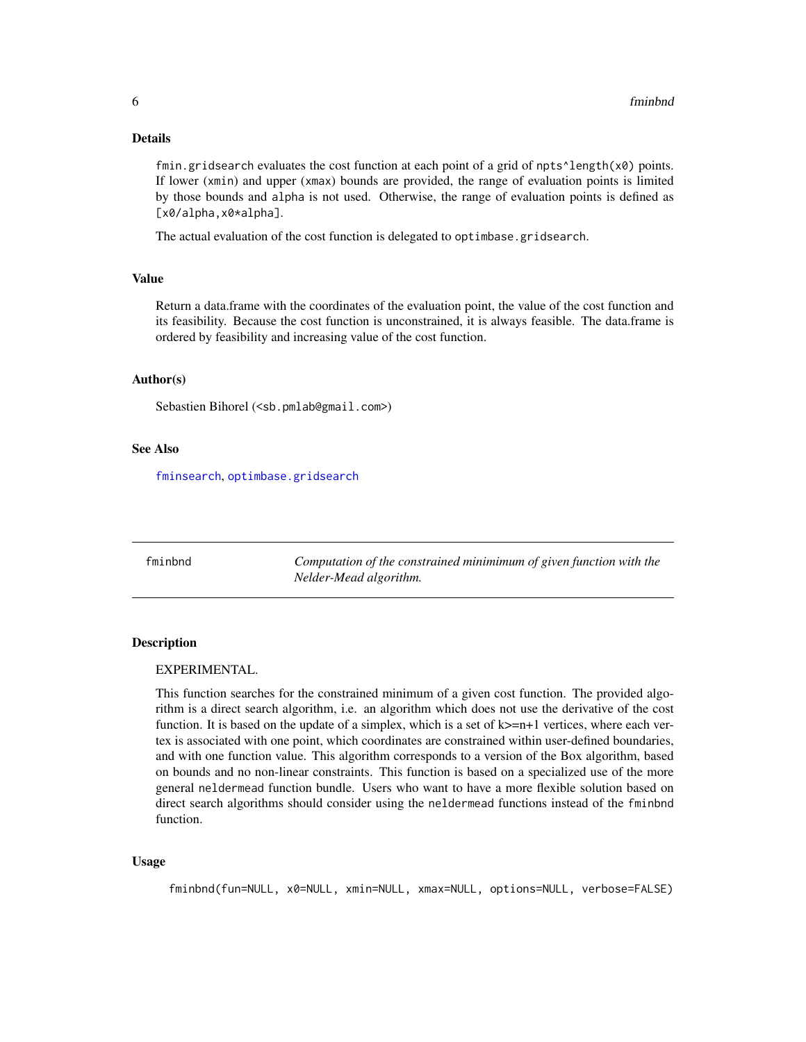#### <span id="page-5-0"></span>Details

fmin.gridsearch evaluates the cost function at each point of a grid of npts $\text{`length}(x0)$  points. If lower (xmin) and upper (xmax) bounds are provided, the range of evaluation points is limited by those bounds and alpha is not used. Otherwise, the range of evaluation points is defined as [x0/alpha,x0\*alpha].

The actual evaluation of the cost function is delegated to optimbase.gridsearch.

#### Value

Return a data.frame with the coordinates of the evaluation point, the value of the cost function and its feasibility. Because the cost function is unconstrained, it is always feasible. The data.frame is ordered by feasibility and increasing value of the cost function.

#### Author(s)

Sebastien Bihorel (<sb.pmlab@gmail.com>)

# See Also

[fminsearch](#page-10-1), [optimbase.gridsearch](#page-0-0)

<span id="page-5-1"></span>fminbnd *Computation of the constrained minimimum of given function with the Nelder-Mead algorithm.*

# Description

#### EXPERIMENTAL.

This function searches for the constrained minimum of a given cost function. The provided algorithm is a direct search algorithm, i.e. an algorithm which does not use the derivative of the cost function. It is based on the update of a simplex, which is a set of  $k>=n+1$  vertices, where each vertex is associated with one point, which coordinates are constrained within user-defined boundaries, and with one function value. This algorithm corresponds to a version of the Box algorithm, based on bounds and no non-linear constraints. This function is based on a specialized use of the more general neldermead function bundle. Users who want to have a more flexible solution based on direct search algorithms should consider using the neldermead functions instead of the fminbnd function.

#### Usage

fminbnd(fun=NULL, x0=NULL, xmin=NULL, xmax=NULL, options=NULL, verbose=FALSE)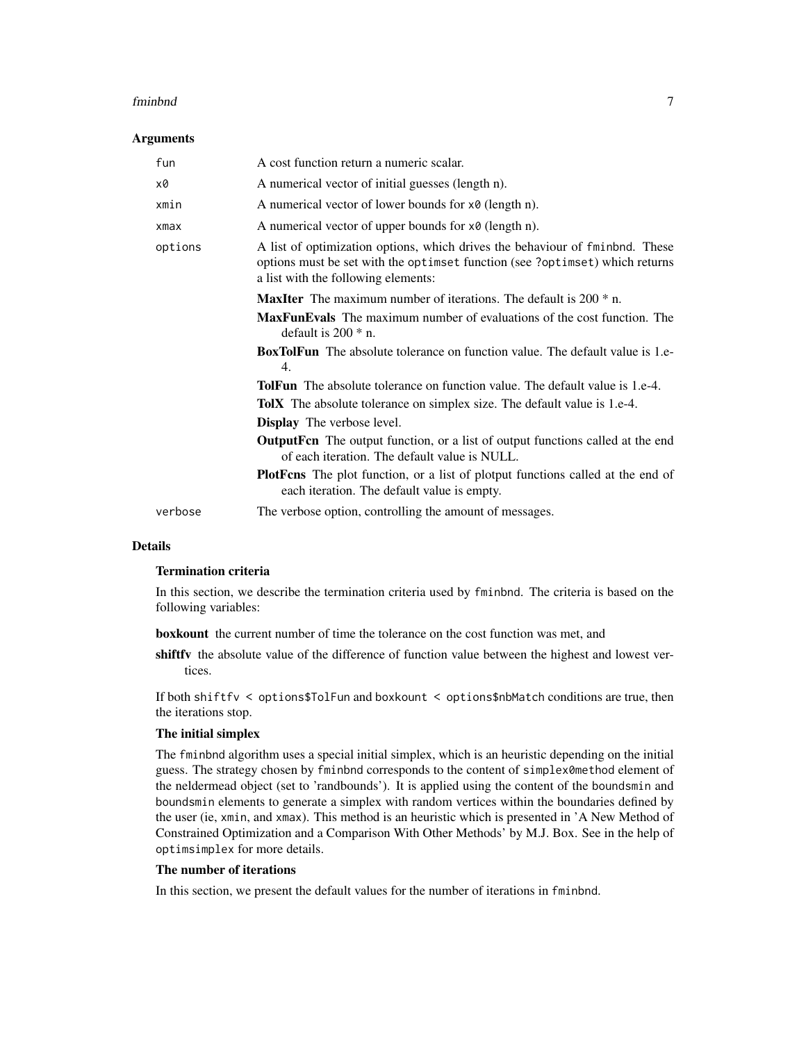#### fminbnd 7

#### Arguments

| fun     | A cost function return a numeric scalar.                                                                                                                                                            |
|---------|-----------------------------------------------------------------------------------------------------------------------------------------------------------------------------------------------------|
| x0      | A numerical vector of initial guesses (length n).                                                                                                                                                   |
| xmin    | A numerical vector of lower bounds for $x\theta$ (length n).                                                                                                                                        |
| xmax    | A numerical vector of upper bounds for $x \theta$ (length n).                                                                                                                                       |
| options | A list of optimization options, which drives the behaviour of fminbnd. These<br>options must be set with the optimset function (see ?optimset) which returns<br>a list with the following elements: |
|         | <b>MaxIter</b> The maximum number of iterations. The default is $200 * n$ .                                                                                                                         |
|         | <b>MaxFunEvals</b> The maximum number of evaluations of the cost function. The<br>default is $200 * n$ .                                                                                            |
|         | <b>BoxTolFun</b> The absolute tolerance on function value. The default value is 1.e-<br>4.                                                                                                          |
|         | <b>TolFun</b> The absolute tolerance on function value. The default value is 1.e-4.                                                                                                                 |
|         | <b>TolX</b> The absolute tolerance on simplex size. The default value is 1.e-4.                                                                                                                     |
|         | <b>Display</b> The verbose level.                                                                                                                                                                   |
|         | <b>OutputFen</b> The output function, or a list of output functions called at the end<br>of each iteration. The default value is NULL.                                                              |
|         | <b>PlotForm</b> The plot function, or a list of plotput functions called at the end of<br>each iteration. The default value is empty.                                                               |
| verbose | The verbose option, controlling the amount of messages.                                                                                                                                             |

#### **Details**

# Termination criteria

In this section, we describe the termination criteria used by fminbnd. The criteria is based on the following variables:

boxkount the current number of time the tolerance on the cost function was met, and

shiftfy the absolute value of the difference of function value between the highest and lowest vertices.

If both shiftfv < options\$TolFun and boxkount < options\$nbMatch conditions are true, then the iterations stop.

#### The initial simplex

The fminbnd algorithm uses a special initial simplex, which is an heuristic depending on the initial guess. The strategy chosen by fminbnd corresponds to the content of simplex0method element of the neldermead object (set to 'randbounds'). It is applied using the content of the boundsmin and boundsmin elements to generate a simplex with random vertices within the boundaries defined by the user (ie, xmin, and xmax). This method is an heuristic which is presented in 'A New Method of Constrained Optimization and a Comparison With Other Methods' by M.J. Box. See in the help of optimsimplex for more details.

# The number of iterations

In this section, we present the default values for the number of iterations in fminbnd.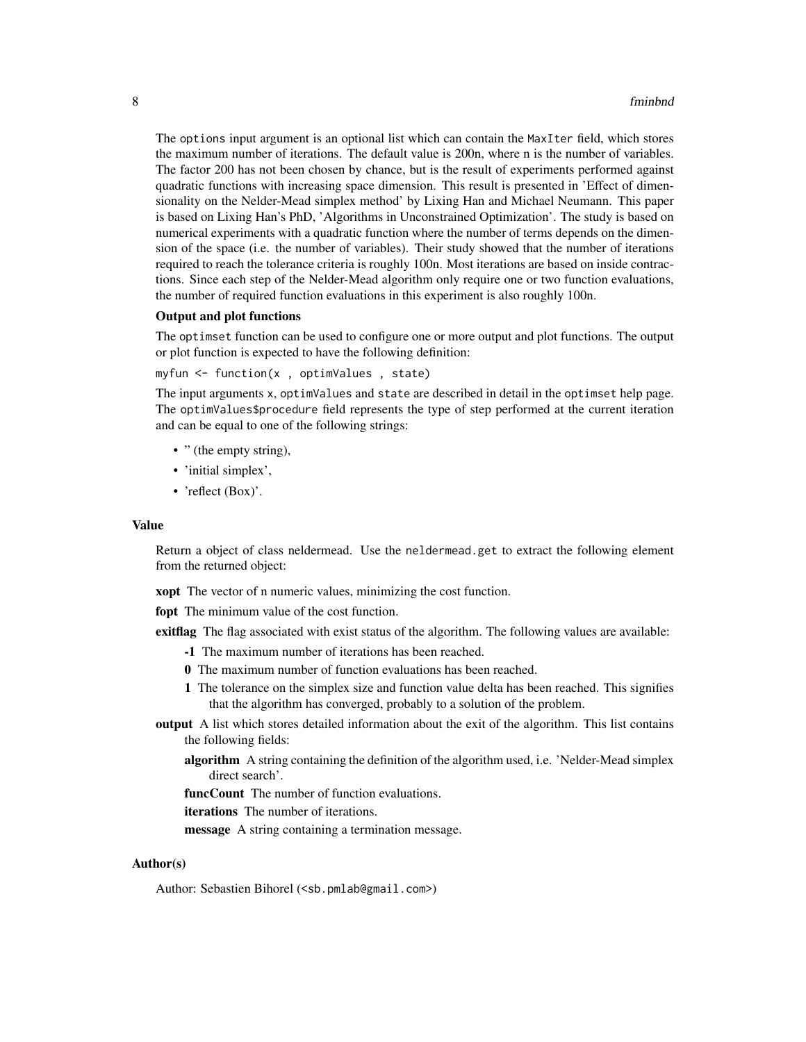The options input argument is an optional list which can contain the MaxIter field, which stores the maximum number of iterations. The default value is 200n, where n is the number of variables. The factor 200 has not been chosen by chance, but is the result of experiments performed against quadratic functions with increasing space dimension. This result is presented in 'Effect of dimensionality on the Nelder-Mead simplex method' by Lixing Han and Michael Neumann. This paper is based on Lixing Han's PhD, 'Algorithms in Unconstrained Optimization'. The study is based on numerical experiments with a quadratic function where the number of terms depends on the dimension of the space (i.e. the number of variables). Their study showed that the number of iterations required to reach the tolerance criteria is roughly 100n. Most iterations are based on inside contractions. Since each step of the Nelder-Mead algorithm only require one or two function evaluations, the number of required function evaluations in this experiment is also roughly 100n.

#### Output and plot functions

The optimset function can be used to configure one or more output and plot functions. The output or plot function is expected to have the following definition:

```
myfun <- function(x , optimValues , state)
```
The input arguments x, optimValues and state are described in detail in the optimset help page. The optimValues\$procedure field represents the type of step performed at the current iteration and can be equal to one of the following strings:

- " (the empty string),
- 'initial simplex',
- 'reflect (Box)'.

# Value

Return a object of class neldermead. Use the neldermead.get to extract the following element from the returned object:

**xopt** The vector of n numeric values, minimizing the cost function.

fopt The minimum value of the cost function.

exitflag The flag associated with exist status of the algorithm. The following values are available:

- -1 The maximum number of iterations has been reached.
- 0 The maximum number of function evaluations has been reached.
- 1 The tolerance on the simplex size and function value delta has been reached. This signifies that the algorithm has converged, probably to a solution of the problem.
- output A list which stores detailed information about the exit of the algorithm. This list contains the following fields:
	- algorithm A string containing the definition of the algorithm used, i.e. 'Nelder-Mead simplex direct search'.

funcCount The number of function evaluations.

iterations The number of iterations.

message A string containing a termination message.

#### Author(s)

Author: Sebastien Bihorel (<sb.pmlab@gmail.com>)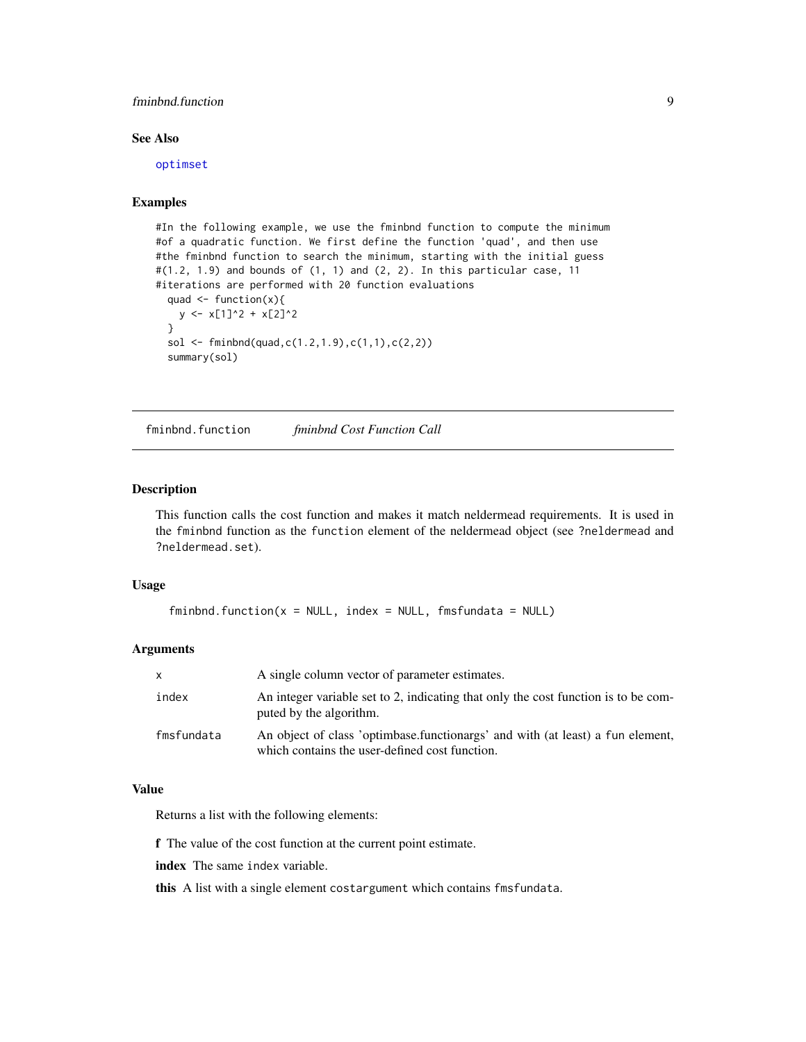# <span id="page-8-0"></span>fminbnd.function 9

# See Also

[optimset](#page-35-1)

# Examples

```
#In the following example, we use the fminbnd function to compute the minimum
#of a quadratic function. We first define the function 'quad', and then use
#the fminbnd function to search the minimum, starting with the initial guess
\#(1.2, 1.9) and bounds of (1, 1) and (2, 2). In this particular case, 11
#iterations are performed with 20 function evaluations
 quad <- function(x){
   y \le -x[1]^2 + x[2]^2}
 sol <- fminbnd(quad, c(1.2, 1.9), c(1, 1), c(2, 2))
 summary(sol)
```
fminbnd.function *fminbnd Cost Function Call*

#### Description

This function calls the cost function and makes it match neldermead requirements. It is used in the fminbnd function as the function element of the neldermead object (see ?neldermead and ?neldermead.set).

# Usage

```
fminbnd.function(x = NULL, index = NULL, fmsfundata = NULL)
```
#### Arguments

| x.         | A single column vector of parameter estimates.                                                                                   |
|------------|----------------------------------------------------------------------------------------------------------------------------------|
| index      | An integer variable set to 2, indicating that only the cost function is to be com-<br>puted by the algorithm.                    |
| fmsfundata | An object of class 'optimbase.functionargs' and with (at least) a fun element,<br>which contains the user-defined cost function. |

# Value

Returns a list with the following elements:

f The value of the cost function at the current point estimate.

index The same index variable.

this A list with a single element costargument which contains fmsfundata.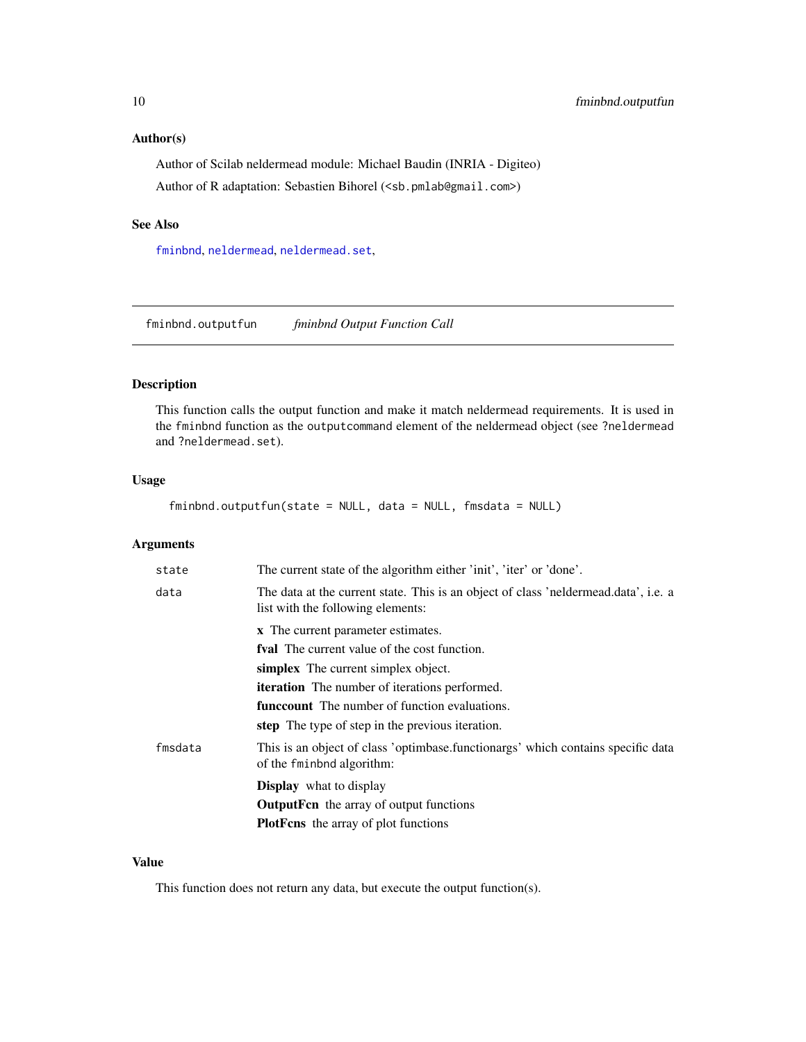# <span id="page-9-0"></span>Author(s)

Author of Scilab neldermead module: Michael Baudin (INRIA - Digiteo) Author of R adaptation: Sebastien Bihorel (<sb.pmlab@gmail.com>)

# See Also

[fminbnd](#page-5-1), [neldermead](#page-16-1), [neldermead.set](#page-29-1),

fminbnd.outputfun *fminbnd Output Function Call*

# Description

This function calls the output function and make it match neldermead requirements. It is used in the fminbnd function as the outputcommand element of the neldermead object (see ?neldermead and ?neldermead.set).

# Usage

fminbnd.outputfun(state = NULL, data = NULL, fmsdata = NULL)

#### Arguments

| state   | The current state of the algorithm either 'init', 'iter' or 'done'.                                                      |
|---------|--------------------------------------------------------------------------------------------------------------------------|
| data    | The data at the current state. This is an object of class 'neldermead.data', i.e. a<br>list with the following elements: |
|         | x The current parameter estimates.                                                                                       |
|         | fval The current value of the cost function.                                                                             |
|         | simplex The current simplex object.                                                                                      |
|         | <b>iteration</b> The number of iterations performed.                                                                     |
|         | <b>funceount</b> The number of function evaluations.                                                                     |
|         | step The type of step in the previous iteration.                                                                         |
| fmsdata | This is an object of class 'optimbase.functionargs' which contains specific data<br>of the fminbod algorithm:            |
|         | <b>Display</b> what to display                                                                                           |
|         | <b>OutputFen</b> the array of output functions                                                                           |
|         | <b>PlotFens</b> the array of plot functions                                                                              |

# Value

This function does not return any data, but execute the output function(s).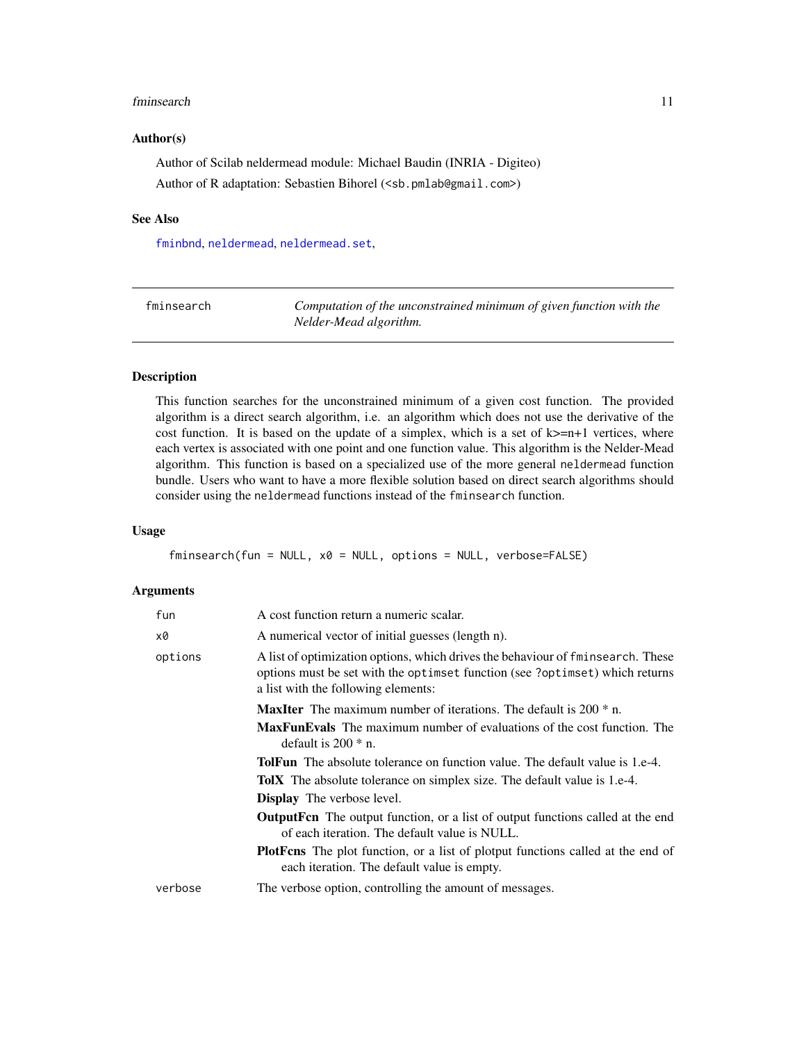#### <span id="page-10-0"></span>fminsearch 11

#### Author(s)

Author of Scilab neldermead module: Michael Baudin (INRIA - Digiteo) Author of R adaptation: Sebastien Bihorel (<sb.pmlab@gmail.com>)

#### See Also

[fminbnd](#page-5-1), [neldermead](#page-16-1), [neldermead.set](#page-29-1),

<span id="page-10-1"></span>

| fminsearch | Computation of the unconstrained minimum of given function with the |
|------------|---------------------------------------------------------------------|
|            | Nelder-Mead algorithm.                                              |

# Description

This function searches for the unconstrained minimum of a given cost function. The provided algorithm is a direct search algorithm, i.e. an algorithm which does not use the derivative of the cost function. It is based on the update of a simplex, which is a set of  $k>=n+1$  vertices, where each vertex is associated with one point and one function value. This algorithm is the Nelder-Mead algorithm. This function is based on a specialized use of the more general neldermead function bundle. Users who want to have a more flexible solution based on direct search algorithms should consider using the neldermead functions instead of the fminsearch function.

#### Usage

fminsearch(fun = NULL, x0 = NULL, options = NULL, verbose=FALSE)

#### Arguments

| fun     | A cost function return a numeric scalar.                                                                                                                                                               |
|---------|--------------------------------------------------------------------------------------------------------------------------------------------------------------------------------------------------------|
| x0      | A numerical vector of initial guesses (length n).                                                                                                                                                      |
| options | A list of optimization options, which drives the behaviour of fminsearch. These<br>options must be set with the optiment function (see ?optiment) which returns<br>a list with the following elements: |
|         | <b>MaxIter</b> The maximum number of iterations. The default is $200 * n$ .                                                                                                                            |
|         | <b>MaxFunEvals</b> The maximum number of evaluations of the cost function. The<br>default is $200 * n$ .                                                                                               |
|         | <b>TolFun</b> The absolute tolerance on function value. The default value is 1.e-4.                                                                                                                    |
|         | <b>TolX</b> The absolute tolerance on simplex size. The default value is 1.e-4.                                                                                                                        |
|         | <b>Display</b> The verbose level.                                                                                                                                                                      |
|         | <b>OutputFen</b> The output function, or a list of output functions called at the end<br>of each iteration. The default value is NULL.                                                                 |
|         | <b>PlotFens</b> The plot function, or a list of plotput functions called at the end of<br>each iteration. The default value is empty.                                                                  |
| verbose | The verbose option, controlling the amount of messages.                                                                                                                                                |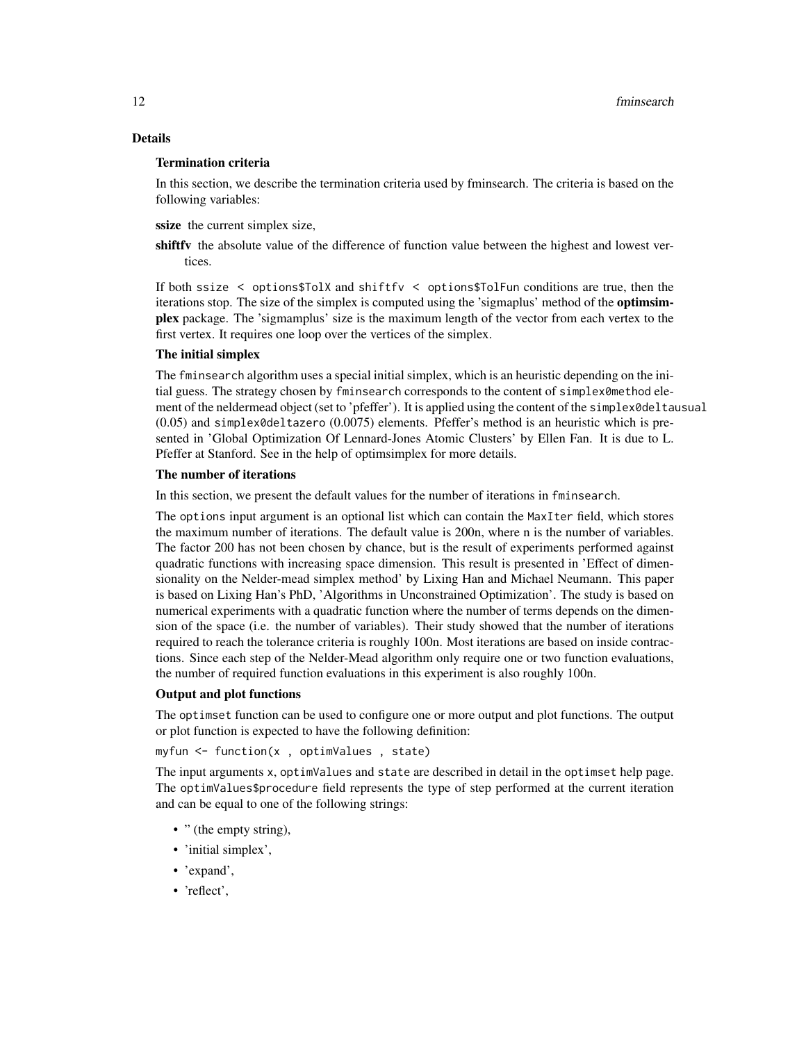# Details

#### Termination criteria

In this section, we describe the termination criteria used by fminsearch. The criteria is based on the following variables:

ssize the current simplex size,

shift fv the absolute value of the difference of function value between the highest and lowest vertices.

If both ssize < options\$TolX and shiftfv < options\$TolFun conditions are true, then the iterations stop. The size of the simplex is computed using the 'sigmaplus' method of the optimsimplex package. The 'sigmamplus' size is the maximum length of the vector from each vertex to the first vertex. It requires one loop over the vertices of the simplex.

# The initial simplex

The fminsearch algorithm uses a special initial simplex, which is an heuristic depending on the initial guess. The strategy chosen by fminsearch corresponds to the content of simplex0method element of the neldermead object (set to 'pfeffer'). It is applied using the content of the simplex0deltausual (0.05) and simplex0deltazero (0.0075) elements. Pfeffer's method is an heuristic which is presented in 'Global Optimization Of Lennard-Jones Atomic Clusters' by Ellen Fan. It is due to L. Pfeffer at Stanford. See in the help of optimsimplex for more details.

### The number of iterations

In this section, we present the default values for the number of iterations in fminsearch.

The options input argument is an optional list which can contain the MaxIter field, which stores the maximum number of iterations. The default value is 200n, where n is the number of variables. The factor 200 has not been chosen by chance, but is the result of experiments performed against quadratic functions with increasing space dimension. This result is presented in 'Effect of dimensionality on the Nelder-mead simplex method' by Lixing Han and Michael Neumann. This paper is based on Lixing Han's PhD, 'Algorithms in Unconstrained Optimization'. The study is based on numerical experiments with a quadratic function where the number of terms depends on the dimension of the space (i.e. the number of variables). Their study showed that the number of iterations required to reach the tolerance criteria is roughly 100n. Most iterations are based on inside contractions. Since each step of the Nelder-Mead algorithm only require one or two function evaluations, the number of required function evaluations in this experiment is also roughly 100n.

#### Output and plot functions

The optimset function can be used to configure one or more output and plot functions. The output or plot function is expected to have the following definition:

```
myfun <- function(x , optimValues , state)
```
The input arguments x, optimValues and state are described in detail in the optimset help page. The optimValues\$procedure field represents the type of step performed at the current iteration and can be equal to one of the following strings:

- " (the empty string),
- 'initial simplex',
- 'expand',
- 'reflect',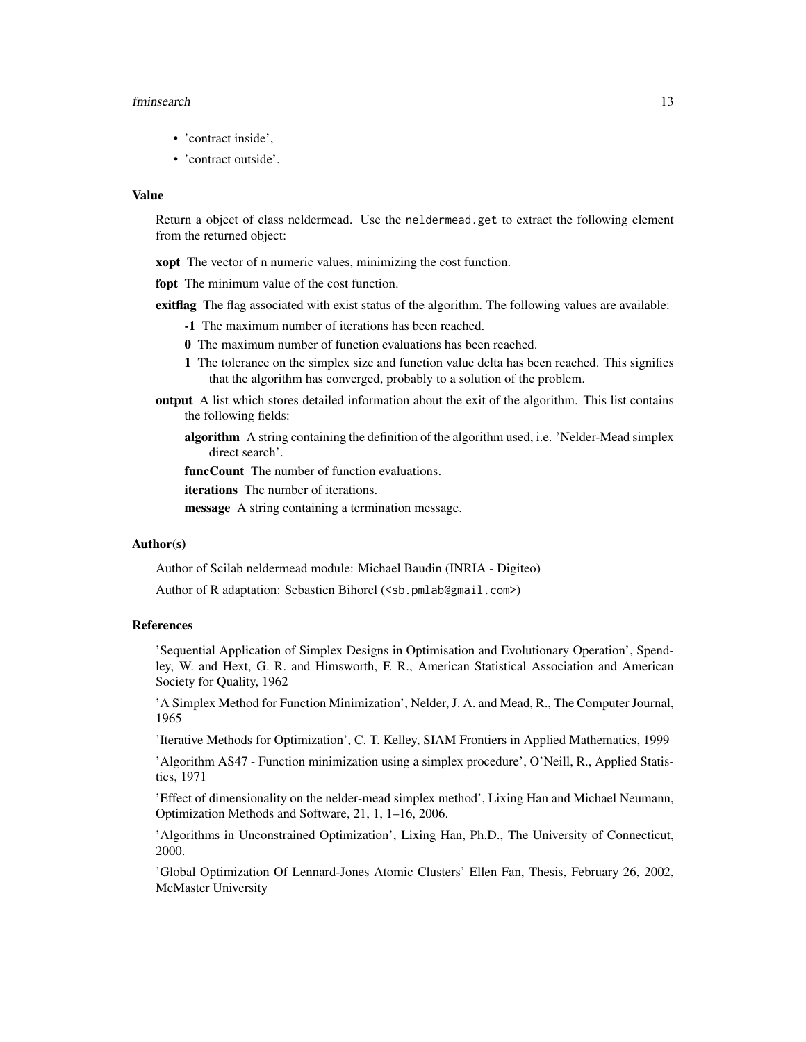#### fminsearch 13

- 'contract inside',
- 'contract outside'.

# Value

Return a object of class neldermead. Use the neldermead.get to extract the following element from the returned object:

**xopt** The vector of n numeric values, minimizing the cost function.

fopt The minimum value of the cost function.

exittlag The flag associated with exist status of the algorithm. The following values are available:

- -1 The maximum number of iterations has been reached.
- 0 The maximum number of function evaluations has been reached.
- 1 The tolerance on the simplex size and function value delta has been reached. This signifies that the algorithm has converged, probably to a solution of the problem.
- output A list which stores detailed information about the exit of the algorithm. This list contains the following fields:
	- algorithm A string containing the definition of the algorithm used, i.e. 'Nelder-Mead simplex direct search'.

funcCount The number of function evaluations.

iterations The number of iterations.

message A string containing a termination message.

#### Author(s)

Author of Scilab neldermead module: Michael Baudin (INRIA - Digiteo)

Author of R adaptation: Sebastien Bihorel (<sb.pmlab@gmail.com>)

#### References

'Sequential Application of Simplex Designs in Optimisation and Evolutionary Operation', Spendley, W. and Hext, G. R. and Himsworth, F. R., American Statistical Association and American Society for Quality, 1962

'A Simplex Method for Function Minimization', Nelder, J. A. and Mead, R., The Computer Journal, 1965

'Iterative Methods for Optimization', C. T. Kelley, SIAM Frontiers in Applied Mathematics, 1999

'Algorithm AS47 - Function minimization using a simplex procedure', O'Neill, R., Applied Statistics, 1971

'Effect of dimensionality on the nelder-mead simplex method', Lixing Han and Michael Neumann, Optimization Methods and Software, 21, 1, 1–16, 2006.

'Algorithms in Unconstrained Optimization', Lixing Han, Ph.D., The University of Connecticut, 2000.

'Global Optimization Of Lennard-Jones Atomic Clusters' Ellen Fan, Thesis, February 26, 2002, McMaster University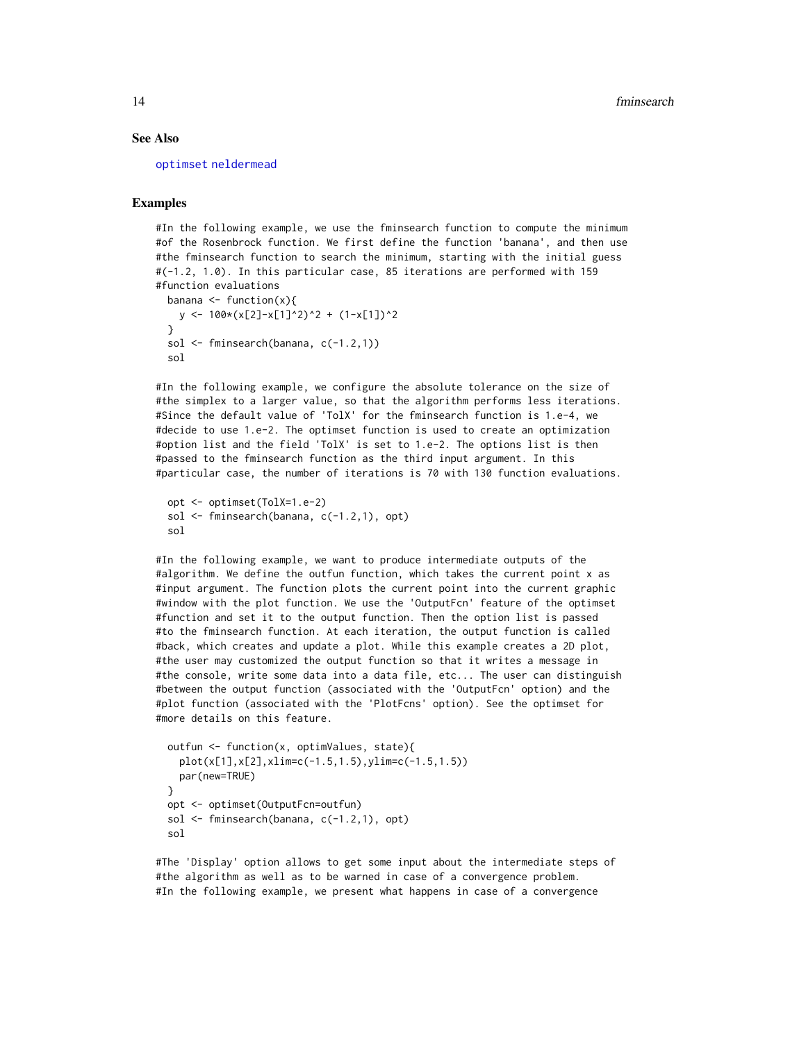#### See Also

[optimset](#page-35-1) [neldermead](#page-16-1)

# Examples

#In the following example, we use the fminsearch function to compute the minimum #of the Rosenbrock function. We first define the function 'banana', and then use #the fminsearch function to search the minimum, starting with the initial guess #(-1.2, 1.0). In this particular case, 85 iterations are performed with 159 #function evaluations

```
banana \leq function(x){
  y <- 100*(x[2]-x[1]^2)^2 + (1-x[1])^2
}
sol \leq fminsearch(banana, c(-1.2,1))
sol
```
#In the following example, we configure the absolute tolerance on the size of #the simplex to a larger value, so that the algorithm performs less iterations. #Since the default value of 'TolX' for the fminsearch function is 1.e-4, we #decide to use 1.e-2. The optimset function is used to create an optimization #option list and the field 'TolX' is set to 1.e-2. The options list is then #passed to the fminsearch function as the third input argument. In this #particular case, the number of iterations is 70 with 130 function evaluations.

```
opt <- optimset(TolX=1.e-2)
sol \leq fminsearch(banana, c(-1.2,1), opt)
sol
```
#In the following example, we want to produce intermediate outputs of the #algorithm. We define the outfun function, which takes the current point x as #input argument. The function plots the current point into the current graphic #window with the plot function. We use the 'OutputFcn' feature of the optimset #function and set it to the output function. Then the option list is passed #to the fminsearch function. At each iteration, the output function is called #back, which creates and update a plot. While this example creates a 2D plot, #the user may customized the output function so that it writes a message in #the console, write some data into a data file, etc... The user can distinguish #between the output function (associated with the 'OutputFcn' option) and the #plot function (associated with the 'PlotFcns' option). See the optimset for #more details on this feature.

```
outfun <- function(x, optimValues, state){
  plot(x[1],x[2],xlim=c(-1.5,1.5),ylim=c(-1.5,1.5))
  par(new=TRUE)
}
opt <- optimset(OutputFcn=outfun)
sol <- fminsearch(banana, c(-1.2,1), opt)
sol
```
#The 'Display' option allows to get some input about the intermediate steps of #the algorithm as well as to be warned in case of a convergence problem. #In the following example, we present what happens in case of a convergence

<span id="page-13-0"></span>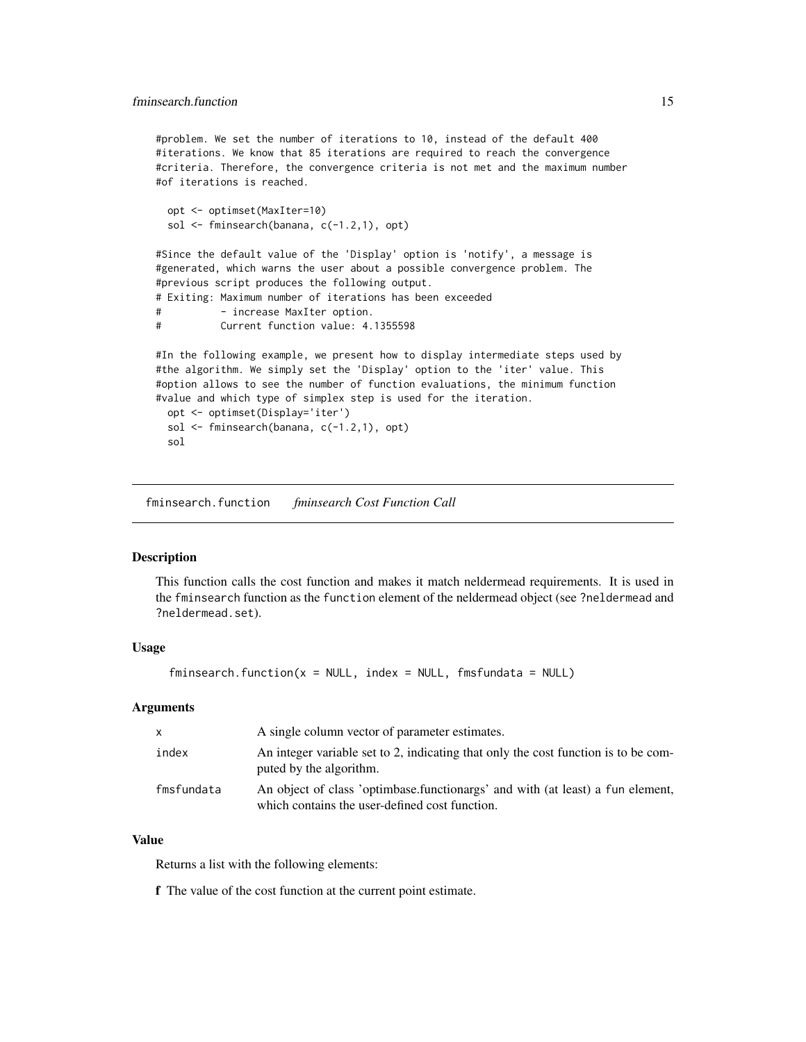<span id="page-14-0"></span>#problem. We set the number of iterations to 10, instead of the default 400 #iterations. We know that 85 iterations are required to reach the convergence #criteria. Therefore, the convergence criteria is not met and the maximum number #of iterations is reached.

```
opt <- optimset(MaxIter=10)
sol <- fminsearch(banana, c(-1.2,1), opt)
```
#Since the default value of the 'Display' option is 'notify', a message is #generated, which warns the user about a possible convergence problem. The #previous script produces the following output. # Exiting: Maximum number of iterations has been exceeded # - increase MaxIter option. # Current function value: 4.1355598

```
#In the following example, we present how to display intermediate steps used by
#the algorithm. We simply set the 'Display' option to the 'iter' value. This
#option allows to see the number of function evaluations, the minimum function
#value and which type of simplex step is used for the iteration.
 opt <- optimset(Display='iter')
 sol <- fminsearch(banana, c(-1.2,1), opt)
```

```
sol
```
fminsearch.function *fminsearch Cost Function Call*

#### Description

This function calls the cost function and makes it match neldermead requirements. It is used in the fminsearch function as the function element of the neldermead object (see ?neldermead and ?neldermead.set).

#### Usage

 $f$ minsearch.function( $x = NULL$ , index = NULL, fmsfundata = NULL)

#### Arguments

| X          | A single column vector of parameter estimates.                                                                                   |
|------------|----------------------------------------------------------------------------------------------------------------------------------|
| index      | An integer variable set to 2, indicating that only the cost function is to be com-<br>puted by the algorithm.                    |
| fmsfundata | An object of class 'optimbase.functionargs' and with (at least) a fun element,<br>which contains the user-defined cost function. |

# Value

Returns a list with the following elements:

f The value of the cost function at the current point estimate.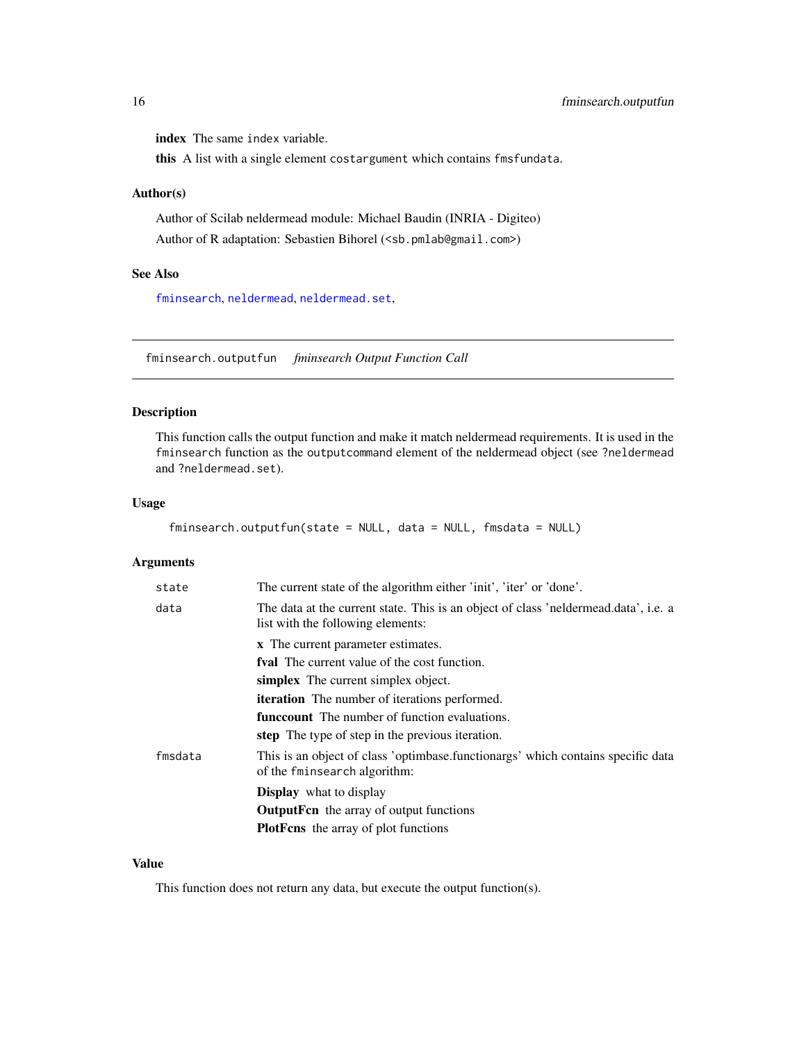<span id="page-15-0"></span>index The same index variable.

this A list with a single element costargument which contains fmsfundata.

# Author(s)

Author of Scilab neldermead module: Michael Baudin (INRIA - Digiteo) Author of R adaptation: Sebastien Bihorel (<sb.pmlab@gmail.com>)

# See Also

[fminsearch](#page-10-1), [neldermead](#page-16-1), [neldermead.set](#page-29-1),

fminsearch.outputfun *fminsearch Output Function Call*

# Description

This function calls the output function and make it match neldermead requirements. It is used in the fminsearch function as the outputcommand element of the neldermead object (see ?neldermead and ?neldermead.set).

#### Usage

```
fminsearch.outputfun(state = NULL, data = NULL, fmsdata = NULL)
```
#### Arguments

| state   | The current state of the algorithm either 'init', 'iter' or 'done'.                                                      |
|---------|--------------------------------------------------------------------------------------------------------------------------|
| data    | The data at the current state. This is an object of class 'neldermead.data', i.e. a<br>list with the following elements: |
|         | x The current parameter estimates.                                                                                       |
|         | <b>fyal</b> The current value of the cost function.                                                                      |
|         | simplex The current simplex object.                                                                                      |
|         | <b>iteration</b> The number of iterations performed.                                                                     |
|         | <b>funccount</b> The number of function evaluations.                                                                     |
|         | step The type of step in the previous iteration.                                                                         |
| fmsdata | This is an object of class 'optimbase.functionargs' which contains specific data<br>of the fminsearch algorithm:         |
|         | <b>Display</b> what to display                                                                                           |
|         | <b>OutputFen</b> the array of output functions                                                                           |
|         | <b>PlotFens</b> the array of plot functions                                                                              |
|         |                                                                                                                          |

# Value

This function does not return any data, but execute the output function(s).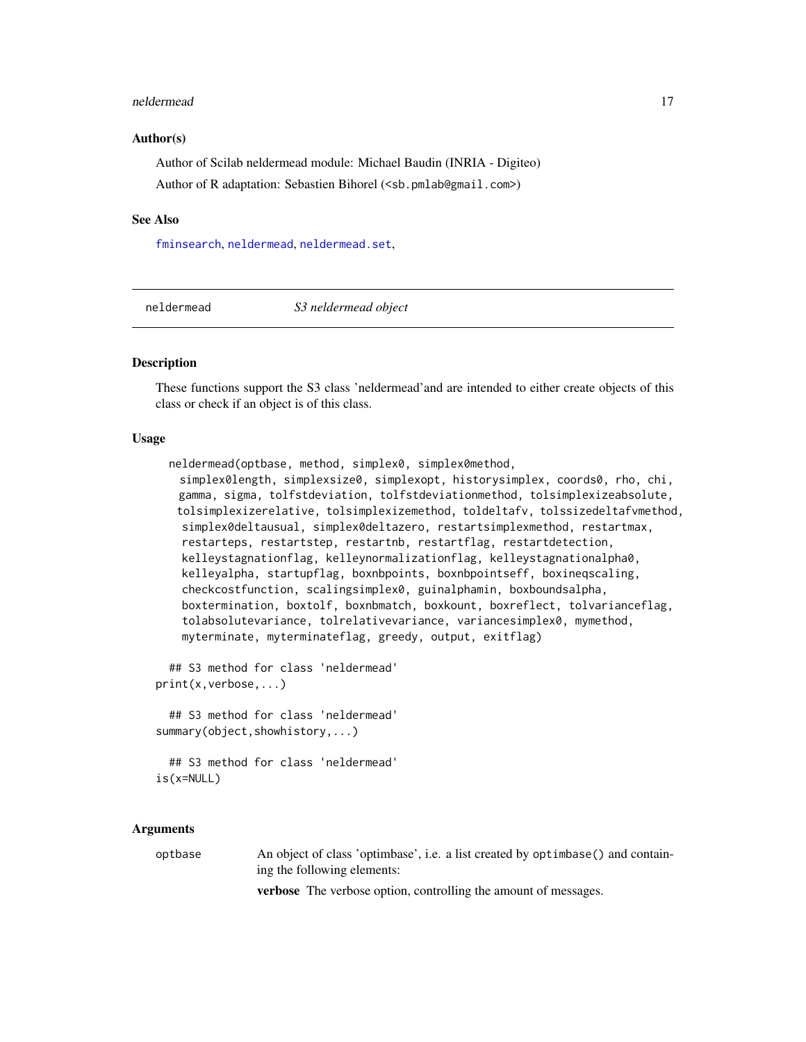#### <span id="page-16-0"></span>neldermead 17

#### Author(s)

Author of Scilab neldermead module: Michael Baudin (INRIA - Digiteo) Author of R adaptation: Sebastien Bihorel (<sb.pmlab@gmail.com>)

#### See Also

[fminsearch](#page-10-1), [neldermead](#page-16-1), [neldermead.set](#page-29-1),

<span id="page-16-1"></span>

neldermead *S3 neldermead object*

# Description

These functions support the S3 class 'neldermead'and are intended to either create objects of this class or check if an object is of this class.

#### Usage

```
neldermead(optbase, method, simplex0, simplex0method,
 simplex0length, simplexsize0, simplexopt, historysimplex, coords0, rho, chi,
 gamma, sigma, tolfstdeviation, tolfstdeviationmethod, tolsimplexizeabsolute,
 tolsimplexizerelative, tolsimplexizemethod, toldeltafv, tolssizedeltafvmethod,
 simplex0deltausual, simplex0deltazero, restartsimplexmethod, restartmax,
 restarteps, restartstep, restartnb, restartflag, restartdetection,
 kelleystagnationflag, kelleynormalizationflag, kelleystagnationalpha0,
 kelleyalpha, startupflag, boxnbpoints, boxnbpointseff, boxineqscaling,
 checkcostfunction, scalingsimplex0, guinalphamin, boxboundsalpha,
 boxtermination, boxtolf, boxnbmatch, boxkount, boxreflect, tolvarianceflag,
 tolabsolutevariance, tolrelativevariance, variancesimplex0, mymethod,
 myterminate, myterminateflag, greedy, output, exitflag)
```
## S3 method for class 'neldermead' print(x,verbose,...)

## S3 method for class 'neldermead' summary(object,showhistory,...)

## S3 method for class 'neldermead' is(x=NULL)

#### Arguments

optbase An object of class 'optimbase', i.e. a list created by optimbase() and containing the following elements:

verbose The verbose option, controlling the amount of messages.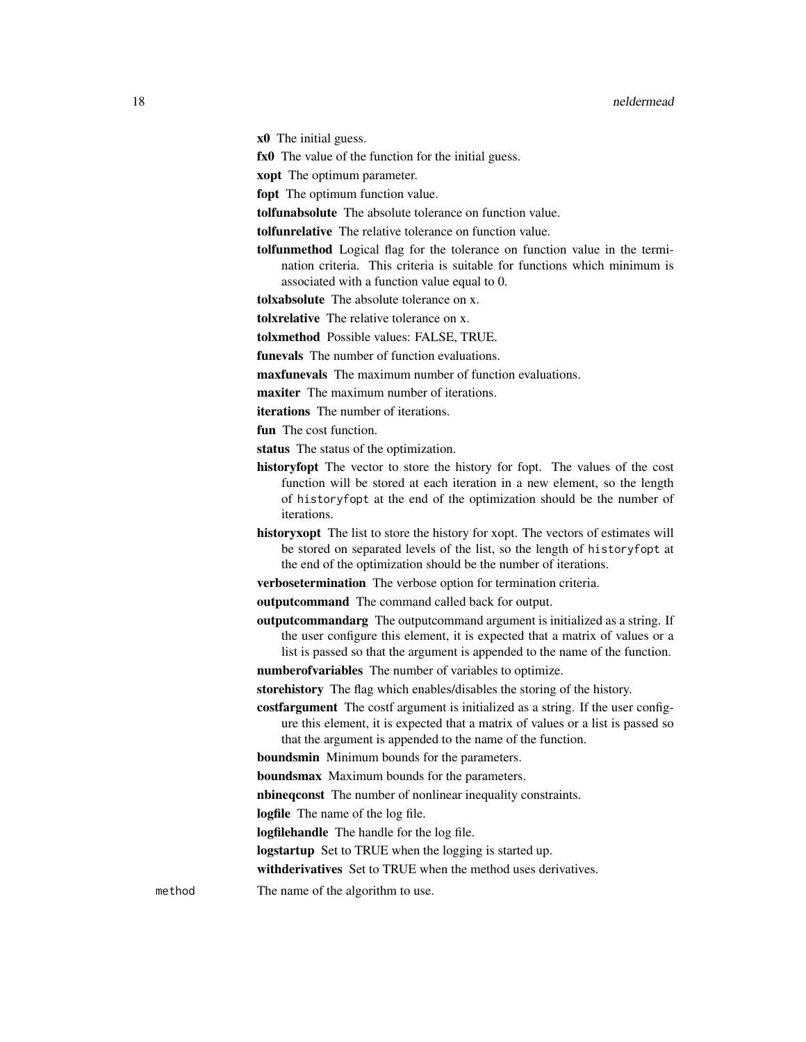x0 The initial guess.

fx0 The value of the function for the initial guess.

xopt The optimum parameter.

fopt The optimum function value.

tolfunabsolute The absolute tolerance on function value.

tolfunrelative The relative tolerance on function value.

tolfunmethod Logical flag for the tolerance on function value in the termination criteria. This criteria is suitable for functions which minimum is associated with a function value equal to 0.

tolxabsolute The absolute tolerance on x.

tolxrelative The relative tolerance on x.

tolxmethod Possible values: FALSE, TRUE.

funevals The number of function evaluations.

maxfunevals The maximum number of function evaluations.

maxiter The maximum number of iterations.

iterations The number of iterations.

fun The cost function.

status The status of the optimization.

- historyfopt The vector to store the history for fopt. The values of the cost function will be stored at each iteration in a new element, so the length of historyfopt at the end of the optimization should be the number of iterations.
- historyxopt The list to store the history for xopt. The vectors of estimates will be stored on separated levels of the list, so the length of historyfopt at the end of the optimization should be the number of iterations.

verbosetermination The verbose option for termination criteria.

outputcommand The command called back for output.

outputcommandarg The outputcommand argument is initialized as a string. If the user configure this element, it is expected that a matrix of values or a list is passed so that the argument is appended to the name of the function.

numberofvariables The number of variables to optimize.

storehistory The flag which enables/disables the storing of the history.

costfargument The costf argument is initialized as a string. If the user configure this element, it is expected that a matrix of values or a list is passed so that the argument is appended to the name of the function.

boundsmin Minimum bounds for the parameters.

boundsmax Maximum bounds for the parameters.

nbineqconst The number of nonlinear inequality constraints.

logfile The name of the log file.

logfilehandle The handle for the log file.

logstartup Set to TRUE when the logging is started up.

withderivatives Set to TRUE when the method uses derivatives.

method The name of the algorithm to use.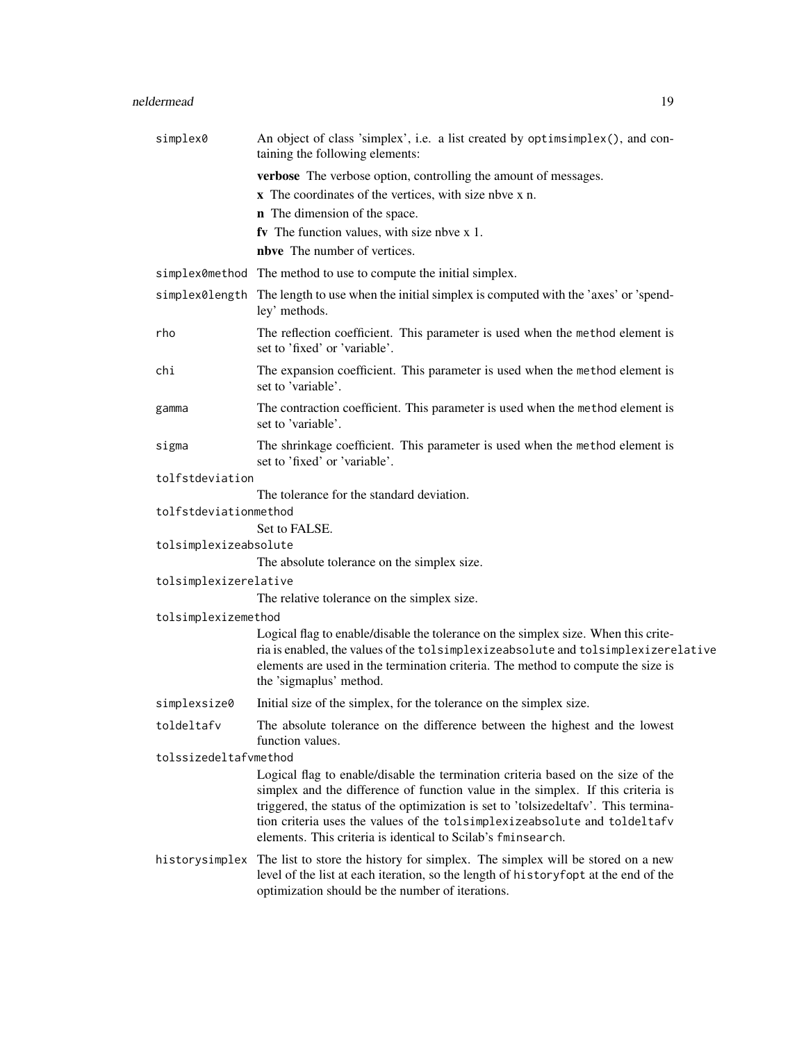# neldermead 19

| simplex0              | An object of class 'simplex', i.e. a list created by optimsimplex(), and con-<br>taining the following elements:                                                                                                                                                                                                                                                                                         |
|-----------------------|----------------------------------------------------------------------------------------------------------------------------------------------------------------------------------------------------------------------------------------------------------------------------------------------------------------------------------------------------------------------------------------------------------|
|                       | verbose The verbose option, controlling the amount of messages.                                                                                                                                                                                                                                                                                                                                          |
|                       | x The coordinates of the vertices, with size nbve x n.                                                                                                                                                                                                                                                                                                                                                   |
|                       | <b>n</b> The dimension of the space.                                                                                                                                                                                                                                                                                                                                                                     |
|                       | fv The function values, with size nbve x 1.                                                                                                                                                                                                                                                                                                                                                              |
|                       | nbve The number of vertices.                                                                                                                                                                                                                                                                                                                                                                             |
|                       | simplex0method The method to use to compute the initial simplex.                                                                                                                                                                                                                                                                                                                                         |
|                       | simplex0length The length to use when the initial simplex is computed with the 'axes' or 'spend-<br>ley' methods.                                                                                                                                                                                                                                                                                        |
| rho                   | The reflection coefficient. This parameter is used when the method element is<br>set to 'fixed' or 'variable'.                                                                                                                                                                                                                                                                                           |
| chi                   | The expansion coefficient. This parameter is used when the method element is<br>set to 'variable'.                                                                                                                                                                                                                                                                                                       |
| gamma                 | The contraction coefficient. This parameter is used when the method element is<br>set to 'variable'.                                                                                                                                                                                                                                                                                                     |
| sigma                 | The shrinkage coefficient. This parameter is used when the method element is<br>set to 'fixed' or 'variable'.                                                                                                                                                                                                                                                                                            |
| tolfstdeviation       |                                                                                                                                                                                                                                                                                                                                                                                                          |
|                       | The tolerance for the standard deviation.                                                                                                                                                                                                                                                                                                                                                                |
| tolfstdeviationmethod |                                                                                                                                                                                                                                                                                                                                                                                                          |
|                       | Set to FALSE.                                                                                                                                                                                                                                                                                                                                                                                            |
| tolsimplexizeabsolute | The absolute tolerance on the simplex size.                                                                                                                                                                                                                                                                                                                                                              |
| tolsimplexizerelative |                                                                                                                                                                                                                                                                                                                                                                                                          |
|                       | The relative tolerance on the simplex size.                                                                                                                                                                                                                                                                                                                                                              |
| tolsimplexizemethod   |                                                                                                                                                                                                                                                                                                                                                                                                          |
|                       | Logical flag to enable/disable the tolerance on the simplex size. When this crite-                                                                                                                                                                                                                                                                                                                       |
|                       | ria is enabled, the values of the tolsimplexizeabsolute and tolsimplexizerelative<br>elements are used in the termination criteria. The method to compute the size is<br>the 'sigmaplus' method.                                                                                                                                                                                                         |
| simplexsize0          | Initial size of the simplex, for the tolerance on the simplex size.                                                                                                                                                                                                                                                                                                                                      |
| toldeltafv            | The absolute tolerance on the difference between the highest and the lowest<br>function values.                                                                                                                                                                                                                                                                                                          |
| tolssizedeltafvmethod |                                                                                                                                                                                                                                                                                                                                                                                                          |
|                       | Logical flag to enable/disable the termination criteria based on the size of the<br>simplex and the difference of function value in the simplex. If this criteria is<br>triggered, the status of the optimization is set to 'tolsizedeltafv'. This termina-<br>tion criteria uses the values of the tolsimplexizeabsolute and toldeltafv<br>elements. This criteria is identical to Scilab's fminsearch. |
|                       | historysimplex The list to store the history for simplex. The simplex will be stored on a new<br>level of the list at each iteration, so the length of historyfopt at the end of the<br>optimization should be the number of iterations.                                                                                                                                                                 |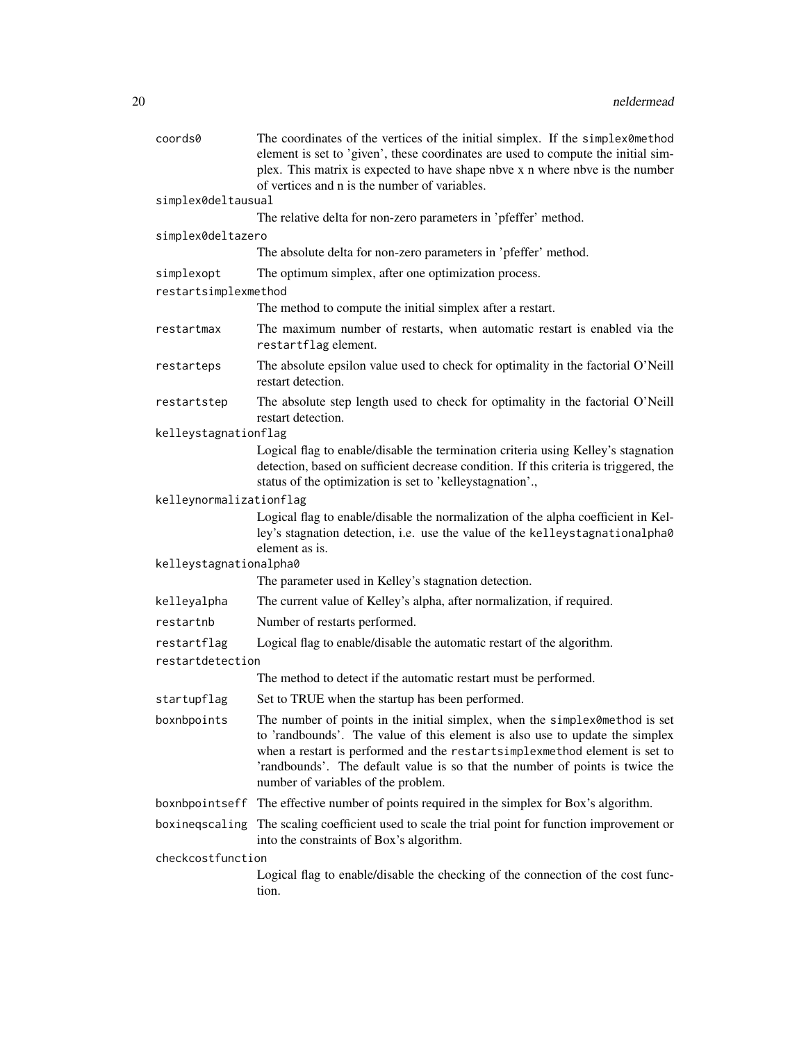| coords0                 | The coordinates of the vertices of the initial simplex. If the simplex0method<br>element is set to 'given', these coordinates are used to compute the initial sim-<br>plex. This matrix is expected to have shape nbve x n where nbve is the number<br>of vertices and n is the number of variables.                                                             |
|-------------------------|------------------------------------------------------------------------------------------------------------------------------------------------------------------------------------------------------------------------------------------------------------------------------------------------------------------------------------------------------------------|
| simplex0deltausual      |                                                                                                                                                                                                                                                                                                                                                                  |
|                         | The relative delta for non-zero parameters in 'pfeffer' method.                                                                                                                                                                                                                                                                                                  |
| simplex0deltazero       |                                                                                                                                                                                                                                                                                                                                                                  |
|                         | The absolute delta for non-zero parameters in 'pfeffer' method.                                                                                                                                                                                                                                                                                                  |
| simplexopt              | The optimum simplex, after one optimization process.                                                                                                                                                                                                                                                                                                             |
| restartsimplexmethod    |                                                                                                                                                                                                                                                                                                                                                                  |
|                         | The method to compute the initial simplex after a restart.                                                                                                                                                                                                                                                                                                       |
| restartmax              | The maximum number of restarts, when automatic restart is enabled via the<br>restartflag element.                                                                                                                                                                                                                                                                |
| restarteps              | The absolute epsilon value used to check for optimality in the factorial O'Neill<br>restart detection.                                                                                                                                                                                                                                                           |
| restartstep             | The absolute step length used to check for optimality in the factorial O'Neill<br>restart detection.                                                                                                                                                                                                                                                             |
| kelleystagnationflag    |                                                                                                                                                                                                                                                                                                                                                                  |
|                         | Logical flag to enable/disable the termination criteria using Kelley's stagnation<br>detection, based on sufficient decrease condition. If this criteria is triggered, the<br>status of the optimization is set to 'kelleystagnation'.,                                                                                                                          |
| kelleynormalizationflag |                                                                                                                                                                                                                                                                                                                                                                  |
|                         | Logical flag to enable/disable the normalization of the alpha coefficient in Kel-<br>ley's stagnation detection, i.e. use the value of the kelleystagnationalpha0<br>element as is.                                                                                                                                                                              |
| kelleystagnationalpha0  |                                                                                                                                                                                                                                                                                                                                                                  |
|                         | The parameter used in Kelley's stagnation detection.                                                                                                                                                                                                                                                                                                             |
| kelleyalpha             | The current value of Kelley's alpha, after normalization, if required.                                                                                                                                                                                                                                                                                           |
| restartnb               | Number of restarts performed.                                                                                                                                                                                                                                                                                                                                    |
| restartflag             | Logical flag to enable/disable the automatic restart of the algorithm.                                                                                                                                                                                                                                                                                           |
| restartdetection        |                                                                                                                                                                                                                                                                                                                                                                  |
|                         | The method to detect if the automatic restart must be performed.                                                                                                                                                                                                                                                                                                 |
| startupflag             | Set to TRUE when the startup has been performed.                                                                                                                                                                                                                                                                                                                 |
| boxnbpoints             | The number of points in the initial simplex, when the simplex0method is set<br>to 'randbounds'. The value of this element is also use to update the simplex<br>when a restart is performed and the restartsimplexmethod element is set to<br>'randbounds'. The default value is so that the number of points is twice the<br>number of variables of the problem. |
| boxnbpointseff          | The effective number of points required in the simplex for Box's algorithm.                                                                                                                                                                                                                                                                                      |
| boxineqscaling          | The scaling coefficient used to scale the trial point for function improvement or<br>into the constraints of Box's algorithm.                                                                                                                                                                                                                                    |
| checkcostfunction       |                                                                                                                                                                                                                                                                                                                                                                  |
|                         | Logical flag to enable/disable the checking of the connection of the cost func-<br>tion.                                                                                                                                                                                                                                                                         |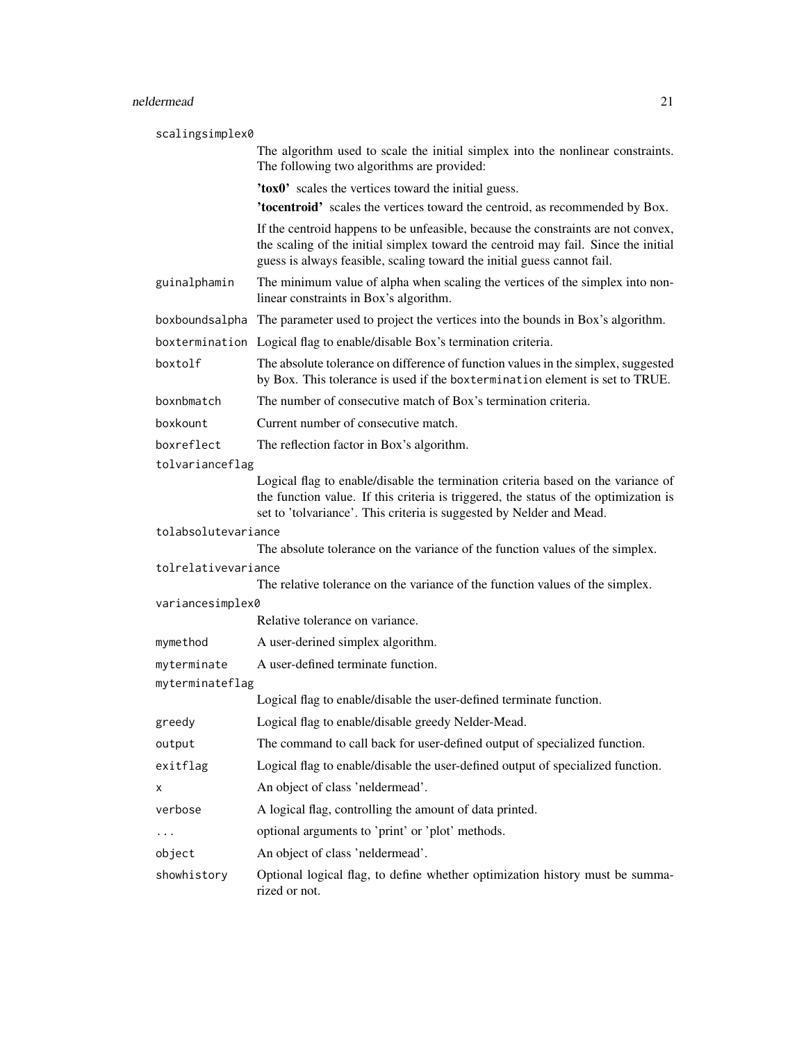# neldermead 21

| scalingsimplex0     |                                                                                                                                                                                                                                                    |  |
|---------------------|----------------------------------------------------------------------------------------------------------------------------------------------------------------------------------------------------------------------------------------------------|--|
|                     | The algorithm used to scale the initial simplex into the nonlinear constraints.<br>The following two algorithms are provided:                                                                                                                      |  |
|                     | 'tox0' scales the vertices toward the initial guess.                                                                                                                                                                                               |  |
|                     | 'tocentroid' scales the vertices toward the centroid, as recommended by Box.                                                                                                                                                                       |  |
|                     | If the centroid happens to be unfeasible, because the constraints are not convex,<br>the scaling of the initial simplex toward the centroid may fail. Since the initial<br>guess is always feasible, scaling toward the initial guess cannot fail. |  |
| guinalphamin        | The minimum value of alpha when scaling the vertices of the simplex into non-<br>linear constraints in Box's algorithm.                                                                                                                            |  |
|                     | boxboundsalpha The parameter used to project the vertices into the bounds in Box's algorithm.                                                                                                                                                      |  |
|                     | boxtermination Logical flag to enable/disable Box's termination criteria.                                                                                                                                                                          |  |
| boxtolf             | The absolute tolerance on difference of function values in the simplex, suggested<br>by Box. This tolerance is used if the boxtermination element is set to TRUE.                                                                                  |  |
| boxnbmatch          | The number of consecutive match of Box's termination criteria.                                                                                                                                                                                     |  |
| boxkount            | Current number of consecutive match.                                                                                                                                                                                                               |  |
| boxreflect          | The reflection factor in Box's algorithm.                                                                                                                                                                                                          |  |
| tolvarianceflag     |                                                                                                                                                                                                                                                    |  |
|                     | Logical flag to enable/disable the termination criteria based on the variance of<br>the function value. If this criteria is triggered, the status of the optimization is<br>set to 'tolvariance'. This criteria is suggested by Nelder and Mead.   |  |
| tolabsolutevariance |                                                                                                                                                                                                                                                    |  |
|                     | The absolute tolerance on the variance of the function values of the simplex.                                                                                                                                                                      |  |
| tolrelativevariance |                                                                                                                                                                                                                                                    |  |
|                     | The relative tolerance on the variance of the function values of the simplex.                                                                                                                                                                      |  |
| variancesimplex0    | Relative tolerance on variance.                                                                                                                                                                                                                    |  |
| mymethod            | A user-derined simplex algorithm.                                                                                                                                                                                                                  |  |
| myterminate         | A user-defined terminate function.                                                                                                                                                                                                                 |  |
| myterminateflag     |                                                                                                                                                                                                                                                    |  |
|                     | Logical flag to enable/disable the user-defined terminate function.                                                                                                                                                                                |  |
| greedy              | Logical flag to enable/disable greedy Nelder-Mead.                                                                                                                                                                                                 |  |
| output              | The command to call back for user-defined output of specialized function.                                                                                                                                                                          |  |
| exitflag            | Logical flag to enable/disable the user-defined output of specialized function.                                                                                                                                                                    |  |
| х                   | An object of class 'neldermead'.                                                                                                                                                                                                                   |  |
| verbose             | A logical flag, controlling the amount of data printed.                                                                                                                                                                                            |  |
| .                   | optional arguments to 'print' or 'plot' methods.                                                                                                                                                                                                   |  |
| object              | An object of class 'neldermead'.                                                                                                                                                                                                                   |  |
| showhistory         | Optional logical flag, to define whether optimization history must be summa-<br>rized or not.                                                                                                                                                      |  |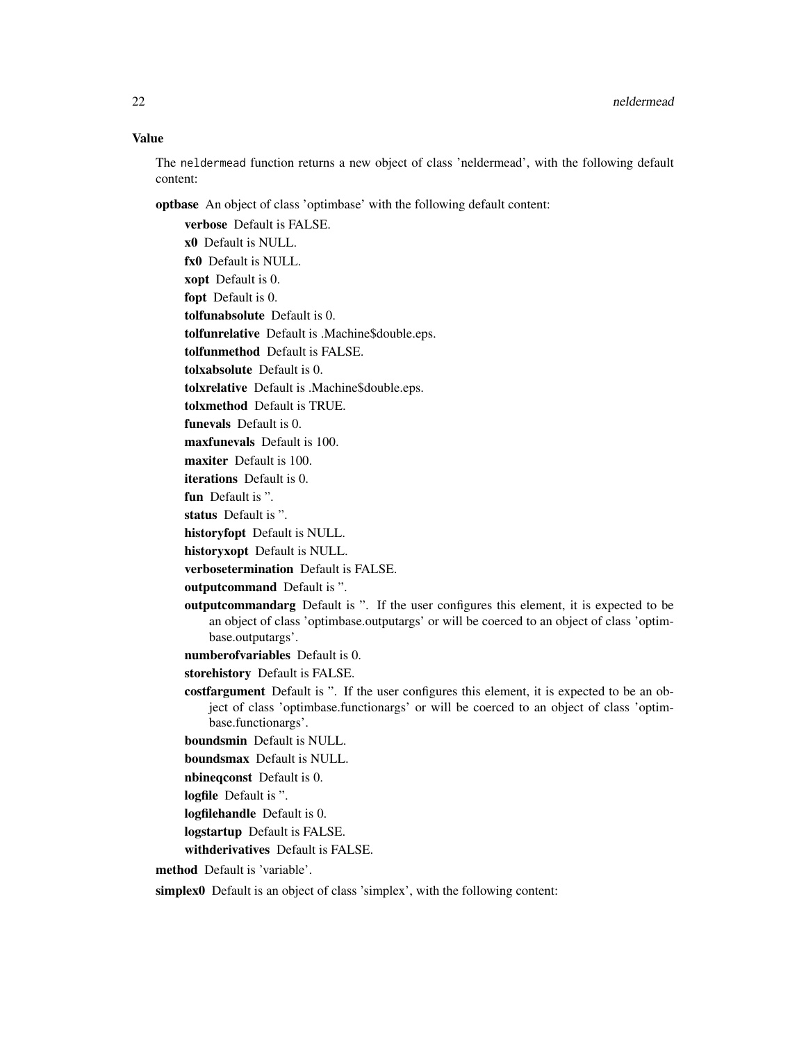The neldermead function returns a new object of class 'neldermead', with the following default content:

optbase An object of class 'optimbase' with the following default content:

verbose Default is FALSE. x0 Default is NULL. fx0 Default is NULL. xopt Default is 0. fopt Default is 0. tolfunabsolute Default is 0. tolfunrelative Default is .Machine\$double.eps. tolfunmethod Default is FALSE. tolxabsolute Default is 0. tolxrelative Default is .Machine\$double.eps. tolxmethod Default is TRUE. funevals Default is 0. maxfunevals Default is 100. maxiter Default is 100. iterations Default is 0. fun Default is ". status Default is ". historyfopt Default is NULL. historyxopt Default is NULL. verbosetermination Default is FALSE. outputcommand Default is ". outputcommandarg Default is ". If the user configures this element, it is expected to be an object of class 'optimbase.outputargs' or will be coerced to an object of class 'optimbase.outputargs'. numberofvariables Default is 0. storehistory Default is FALSE. costfargument Default is ". If the user configures this element, it is expected to be an object of class 'optimbase.functionargs' or will be coerced to an object of class 'optimbase.functionargs'. boundsmin Default is NULL. boundsmax Default is NULL. nbineqconst Default is 0. logfile Default is ". logfilehandle Default is 0. logstartup Default is FALSE. withderivatives Default is FALSE. method Default is 'variable'. simplex0 Default is an object of class 'simplex', with the following content: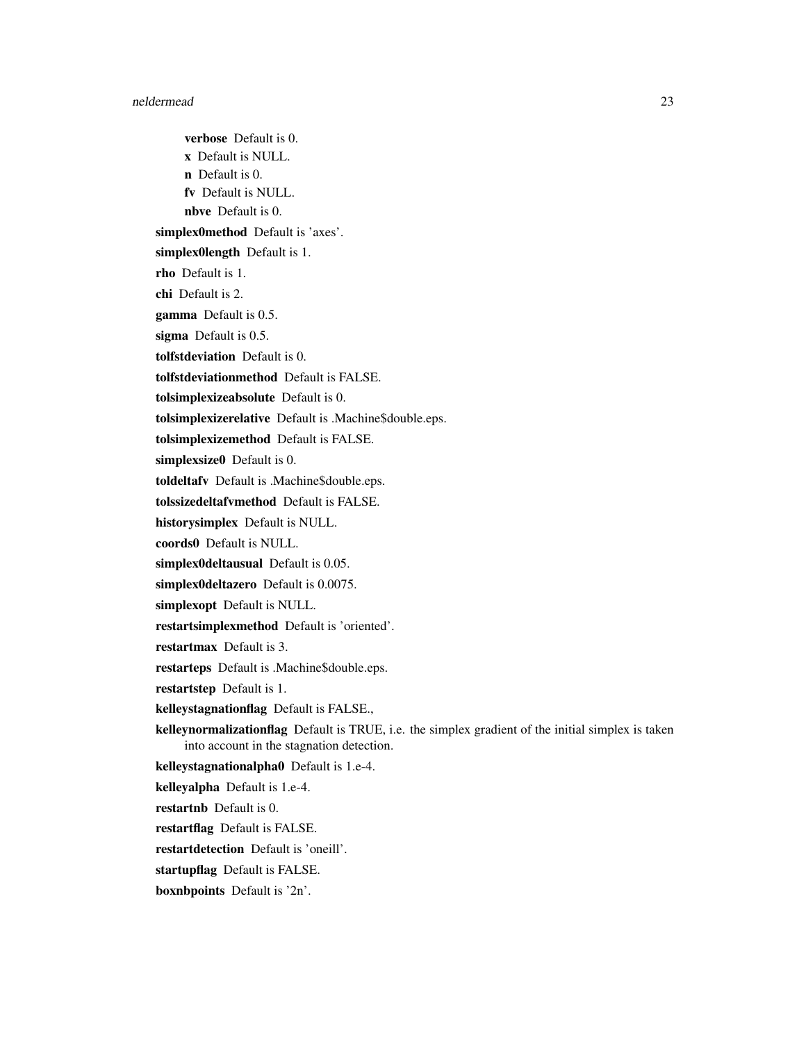verbose Default is 0. x Default is NULL. n Default is 0. fv Default is NULL. nbve Default is 0. simplex0method Default is 'axes'. simplex0length Default is 1. rho Default is 1. chi Default is 2. gamma Default is 0.5. sigma Default is 0.5. tolfstdeviation Default is 0. tolfstdeviationmethod Default is FALSE. tolsimplexizeabsolute Default is 0. tolsimplexizerelative Default is .Machine\$double.eps. tolsimplexizemethod Default is FALSE. simplexsize0 Default is 0. toldeltafv Default is .Machine\$double.eps. tolssizedeltafvmethod Default is FALSE. historysimplex Default is NULL. coords0 Default is NULL. simplex0deltausual Default is 0.05. simplex0deltazero Default is 0.0075. simplexopt Default is NULL. restartsimplexmethod Default is 'oriented'. restartmax Default is 3. restarteps Default is .Machine\$double.eps. restartstep Default is 1. kelleystagnationflag Default is FALSE., kelleynormalizationflag Default is TRUE, i.e. the simplex gradient of the initial simplex is taken into account in the stagnation detection. kelleystagnationalpha0 Default is 1.e-4. kelleyalpha Default is 1.e-4. restartnb Default is 0. restartflag Default is FALSE. restartdetection Default is 'oneill'. startupflag Default is FALSE. boxnbpoints Default is '2n'.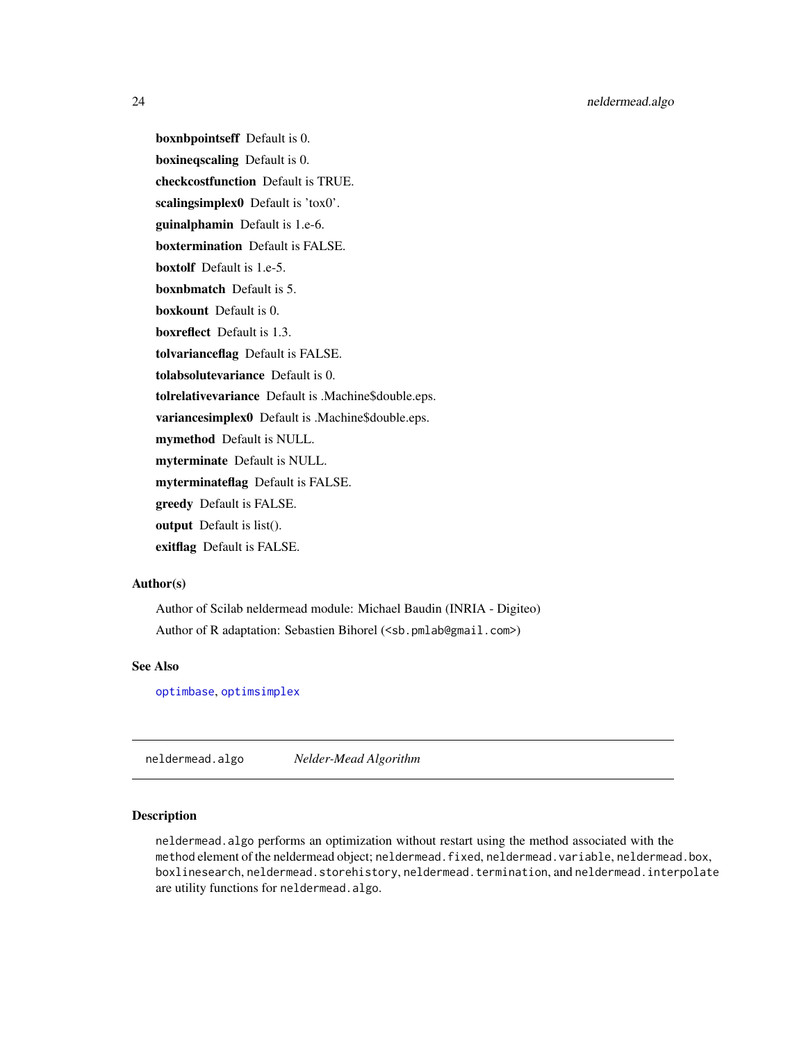<span id="page-23-0"></span>boxnbpointseff Default is 0. boxineqscaling Default is 0. checkcostfunction Default is TRUE. scalingsimplex0 Default is 'tox0'. guinalphamin Default is 1.e-6. boxtermination Default is FALSE. boxtolf Default is 1.e-5. boxnbmatch Default is 5. boxkount Default is 0. boxreflect Default is 1.3. tolvarianceflag Default is FALSE. tolabsolutevariance Default is 0. tolrelativevariance Default is .Machine\$double.eps. variancesimplex0 Default is .Machine\$double.eps. mymethod Default is NULL. myterminate Default is NULL. myterminateflag Default is FALSE. greedy Default is FALSE. output Default is list(). exitflag Default is FALSE.

# Author(s)

Author of Scilab neldermead module: Michael Baudin (INRIA - Digiteo) Author of R adaptation: Sebastien Bihorel (<sb.pmlab@gmail.com>)

# See Also

[optimbase](#page-0-0), [optimsimplex](#page-0-0)

neldermead.algo *Nelder-Mead Algorithm*

# **Description**

neldermead.algo performs an optimization without restart using the method associated with the method element of the neldermead object; neldermead.fixed, neldermead.variable, neldermead.box, boxlinesearch, neldermead.storehistory, neldermead.termination, and neldermead.interpolate are utility functions for neldermead.algo.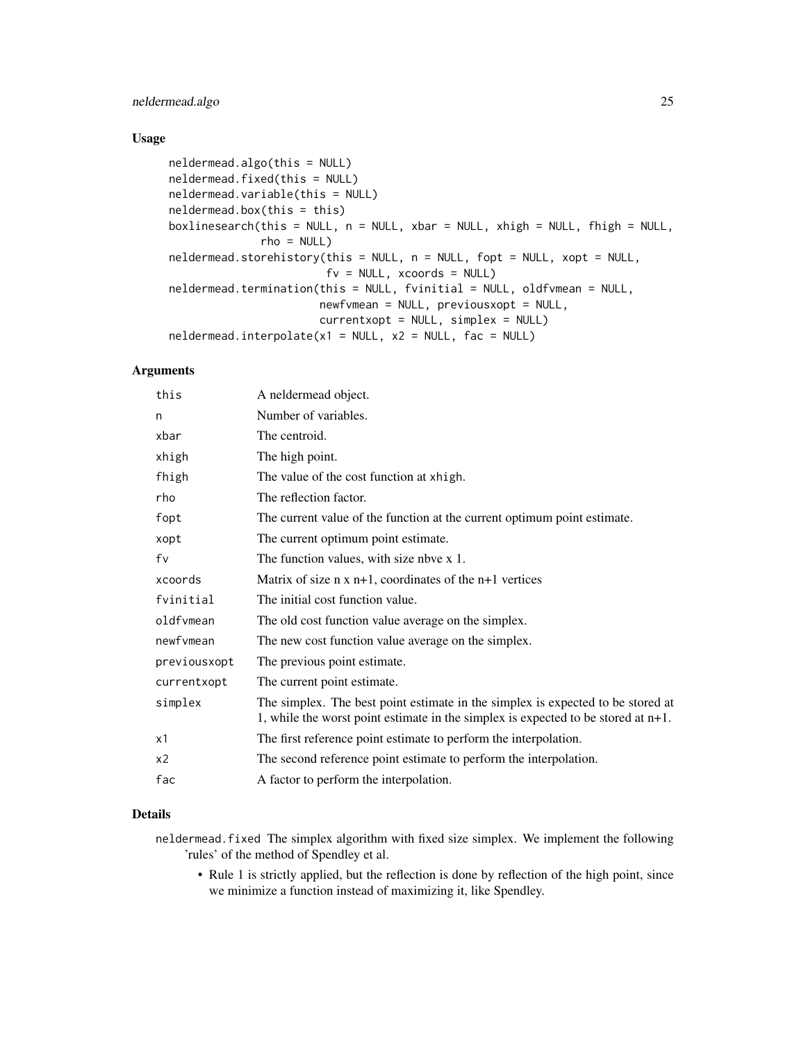# neldermead.algo 25

# Usage

```
neldermead.algo(this = NULL)
neldermead.fixed(this = NULL)
neldermead.variable(this = NULL)
neldermead.box(this = this)
boxlinesearch(this = NULL, n = NULL, xbar = NULL, xhigh = NULL, fhigh = NULL,
              rho = NULL)neldermead.storehistory(this = NULL, n = NULL, fopt = NULL, xopt = NULL,
                        fv = NULL, xcoords = NULL)
neldermead.termination(this = NULL, fvinitial = NULL, oldfvmean = NULL,
                       newfvmean = NULL, previousxopt = NULL,
                       currentxopt = NULL, simplex = NULL)
neldermed.interpolate(x1 = NULL, x2 = NULL, fac = NULL)
```
# Arguments

| this           | A neldermead object.                                                                                                                                                    |
|----------------|-------------------------------------------------------------------------------------------------------------------------------------------------------------------------|
| n              | Number of variables.                                                                                                                                                    |
| xbar           | The centroid.                                                                                                                                                           |
| xhigh          | The high point.                                                                                                                                                         |
| fhigh          | The value of the cost function at xhigh.                                                                                                                                |
| rho            | The reflection factor.                                                                                                                                                  |
| fopt           | The current value of the function at the current optimum point estimate.                                                                                                |
| xopt           | The current optimum point estimate.                                                                                                                                     |
| fv             | The function values, with size nbve x 1.                                                                                                                                |
| xcoords        | Matrix of size $n \times n+1$ , coordinates of the $n+1$ vertices                                                                                                       |
| fvinitial      | The initial cost function value.                                                                                                                                        |
| oldfvmean      | The old cost function value average on the simplex.                                                                                                                     |
| newfvmean      | The new cost function value average on the simplex.                                                                                                                     |
| previousxopt   | The previous point estimate.                                                                                                                                            |
| currentxopt    | The current point estimate.                                                                                                                                             |
| simplex        | The simplex. The best point estimate in the simplex is expected to be stored at<br>1, while the worst point estimate in the simplex is expected to be stored at $n+1$ . |
| x1             | The first reference point estimate to perform the interpolation.                                                                                                        |
| x <sub>2</sub> | The second reference point estimate to perform the interpolation.                                                                                                       |
| fac            | A factor to perform the interpolation.                                                                                                                                  |

# Details

neldermead.fixed The simplex algorithm with fixed size simplex. We implement the following 'rules' of the method of Spendley et al.

• Rule 1 is strictly applied, but the reflection is done by reflection of the high point, since we minimize a function instead of maximizing it, like Spendley.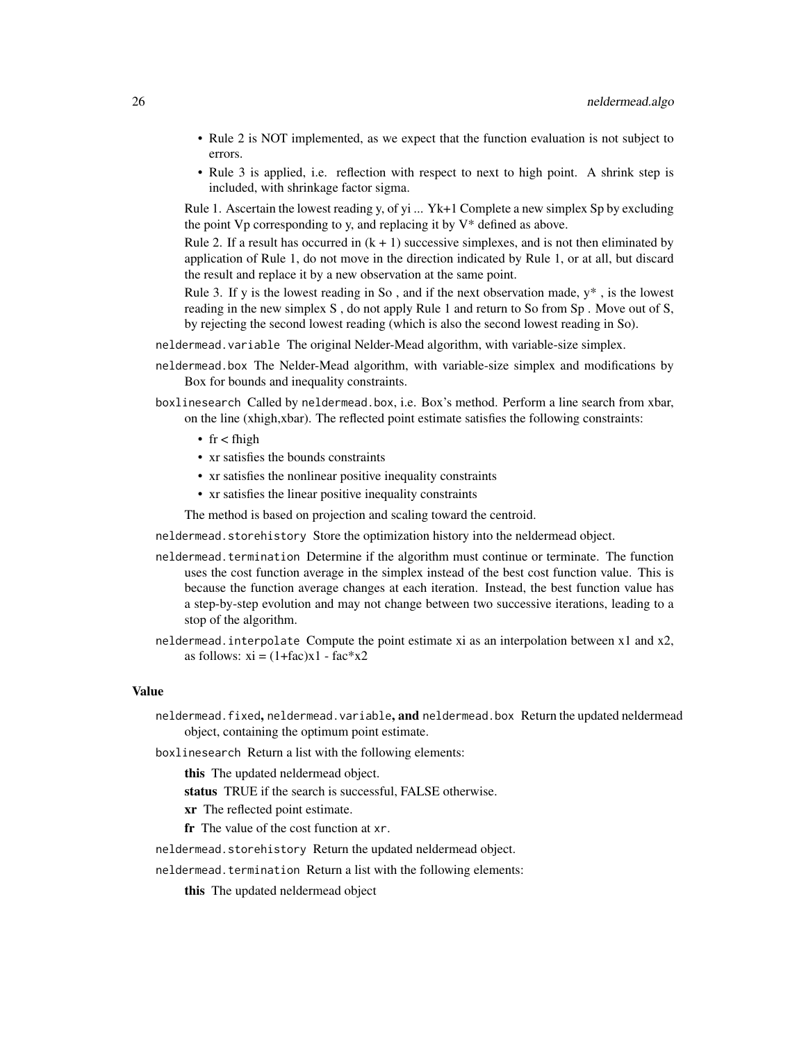- Rule 2 is NOT implemented, as we expect that the function evaluation is not subject to errors.
- Rule 3 is applied, i.e. reflection with respect to next to high point. A shrink step is included, with shrinkage factor sigma.

Rule 1. Ascertain the lowest reading y, of yi ... Yk+1 Complete a new simplex Sp by excluding the point  $Vp$  corresponding to y, and replacing it by  $V^*$  defined as above.

Rule 2. If a result has occurred in  $(k + 1)$  successive simplexes, and is not then eliminated by application of Rule 1, do not move in the direction indicated by Rule 1, or at all, but discard the result and replace it by a new observation at the same point.

Rule 3. If y is the lowest reading in So, and if the next observation made,  $y^*$ , is the lowest reading in the new simplex S , do not apply Rule 1 and return to So from Sp . Move out of S, by rejecting the second lowest reading (which is also the second lowest reading in So).

- neldermead.variable The original Nelder-Mead algorithm, with variable-size simplex.
- neldermead.box The Nelder-Mead algorithm, with variable-size simplex and modifications by Box for bounds and inequality constraints.
- boxlinesearch Called by neldermead.box, i.e. Box's method. Perform a line search from xbar, on the line (xhigh,xbar). The reflected point estimate satisfies the following constraints:
	- fr < fhigh
	- xr satisfies the bounds constraints
	- xr satisfies the nonlinear positive inequality constraints
	- xr satisfies the linear positive inequality constraints

The method is based on projection and scaling toward the centroid.

neldermead.storehistory Store the optimization history into the neldermead object.

- neldermead.termination Determine if the algorithm must continue or terminate. The function uses the cost function average in the simplex instead of the best cost function value. This is because the function average changes at each iteration. Instead, the best function value has a step-by-step evolution and may not change between two successive iterations, leading to a stop of the algorithm.
- neldermead.interpolate Compute the point estimate xi as an interpolation between x1 and x2, as follows:  $xi = (1 + fac)x1 - fac*x2$

#### Value

- neldermead.fixed, neldermead.variable, and neldermead.box Return the updated neldermead object, containing the optimum point estimate.
- boxlinesearch Return a list with the following elements:

this The updated neldermead object.

status TRUE if the search is successful, FALSE otherwise.

xr The reflected point estimate.

fr The value of the cost function at xr.

neldermead.storehistory Return the updated neldermead object.

neldermead.termination Return a list with the following elements:

this The updated neldermead object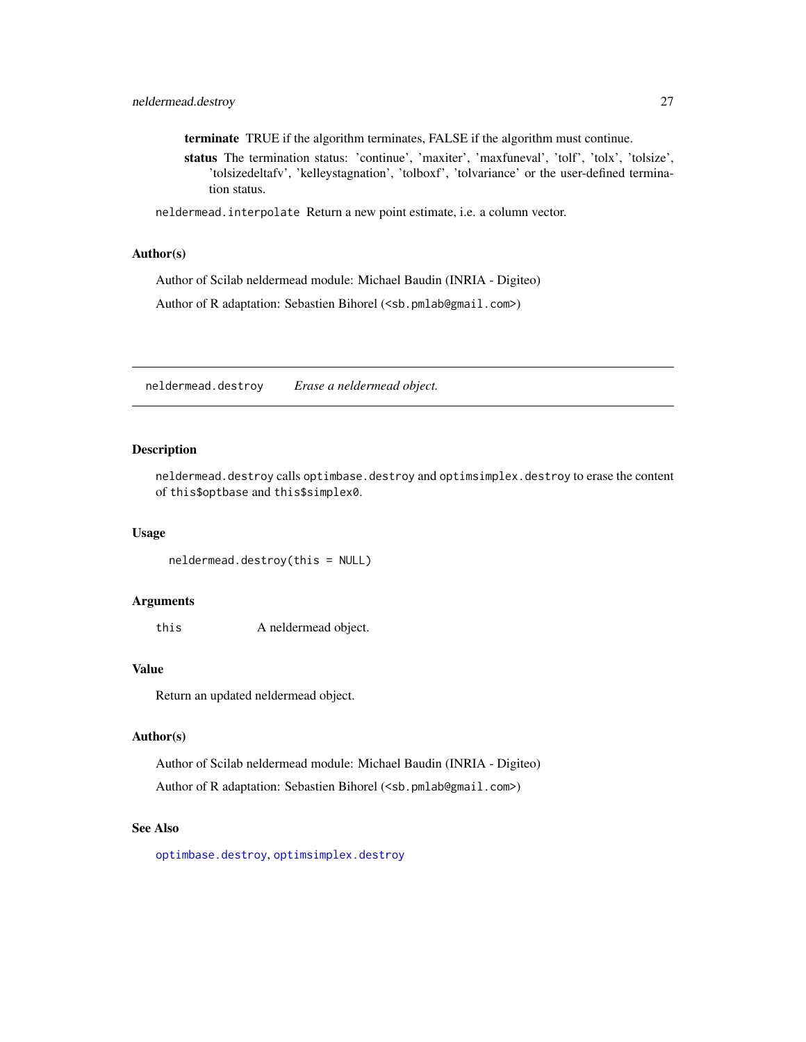<span id="page-26-0"></span>terminate TRUE if the algorithm terminates, FALSE if the algorithm must continue.

status The termination status: 'continue', 'maxiter', 'maxfuneval', 'tolf', 'tolx', 'tolsize', 'tolsizedeltafv', 'kelleystagnation', 'tolboxf', 'tolvariance' or the user-defined termination status.

neldermead.interpolate Return a new point estimate, i.e. a column vector.

#### Author(s)

Author of Scilab neldermead module: Michael Baudin (INRIA - Digiteo)

Author of R adaptation: Sebastien Bihorel (<sb.pmlab@gmail.com>)

neldermead.destroy *Erase a neldermead object.*

# Description

neldermead.destroy calls optimbase.destroy and optimsimplex.destroy to erase the content of this\$optbase and this\$simplex0.

#### Usage

neldermead.destroy(this = NULL)

#### Arguments

this A neldermead object.

# Value

Return an updated neldermead object.

# Author(s)

Author of Scilab neldermead module: Michael Baudin (INRIA - Digiteo) Author of R adaptation: Sebastien Bihorel (<sb.pmlab@gmail.com>)

#### See Also

[optimbase.destroy](#page-0-0), [optimsimplex.destroy](#page-0-0)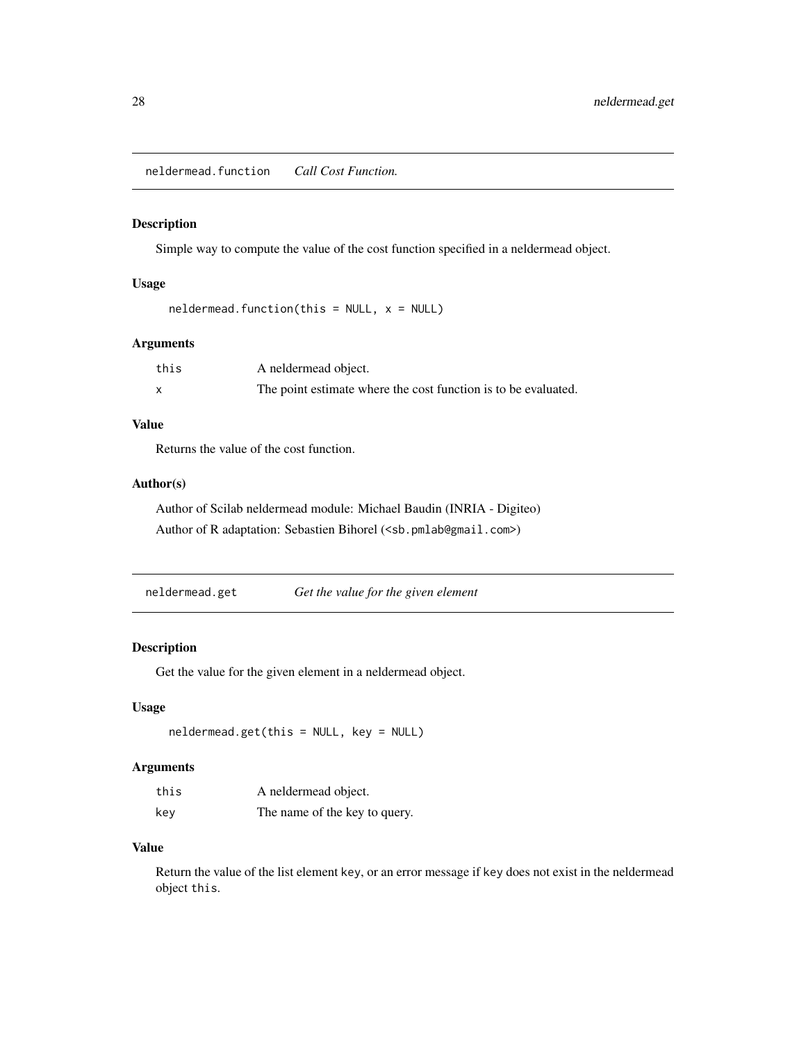<span id="page-27-0"></span>neldermead.function *Call Cost Function.*

# Description

Simple way to compute the value of the cost function specified in a neldermead object.

# Usage

 $neldermed.function(this = NULL, x = NULL)$ 

# Arguments

| this | A neldermead object.                                           |
|------|----------------------------------------------------------------|
|      | The point estimate where the cost function is to be evaluated. |

#### Value

Returns the value of the cost function.

# Author(s)

Author of Scilab neldermead module: Michael Baudin (INRIA - Digiteo) Author of R adaptation: Sebastien Bihorel (<sb.pmlab@gmail.com>)

neldermead.get *Get the value for the given element*

# Description

Get the value for the given element in a neldermead object.

# Usage

neldermead.get(this = NULL, key = NULL)

# Arguments

| this | A neldermead object.          |
|------|-------------------------------|
| key  | The name of the key to query. |

# Value

Return the value of the list element key, or an error message if key does not exist in the neldermead object this.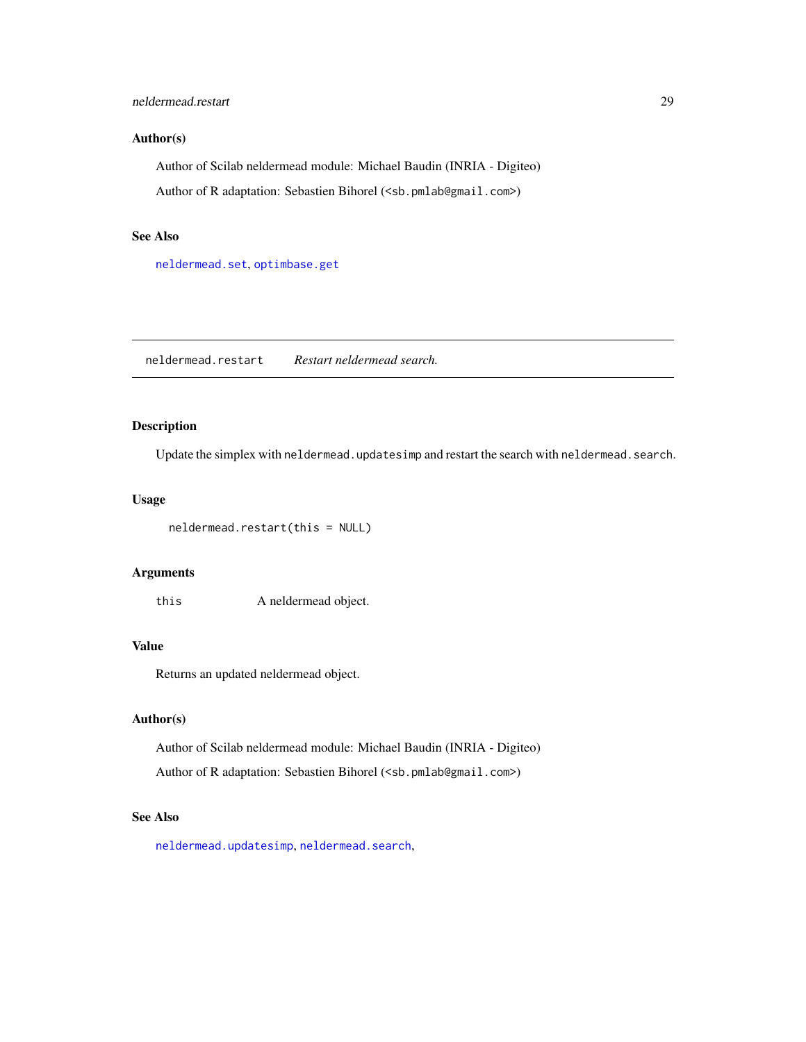# <span id="page-28-0"></span>neldermead.restart 29

# Author(s)

Author of Scilab neldermead module: Michael Baudin (INRIA - Digiteo) Author of R adaptation: Sebastien Bihorel (<sb.pmlab@gmail.com>)

#### See Also

[neldermead.set](#page-29-1), [optimbase.get](#page-0-0)

neldermead.restart *Restart neldermead search.*

# Description

Update the simplex with neldermead.updatesimp and restart the search with neldermead.search.

# Usage

neldermead.restart(this = NULL)

# Arguments

this A neldermead object.

# Value

Returns an updated neldermead object.

#### Author(s)

Author of Scilab neldermead module: Michael Baudin (INRIA - Digiteo)

Author of R adaptation: Sebastien Bihorel (<sb.pmlab@gmail.com>)

# See Also

[neldermead.updatesimp](#page-38-1), [neldermead.search](#page-29-2),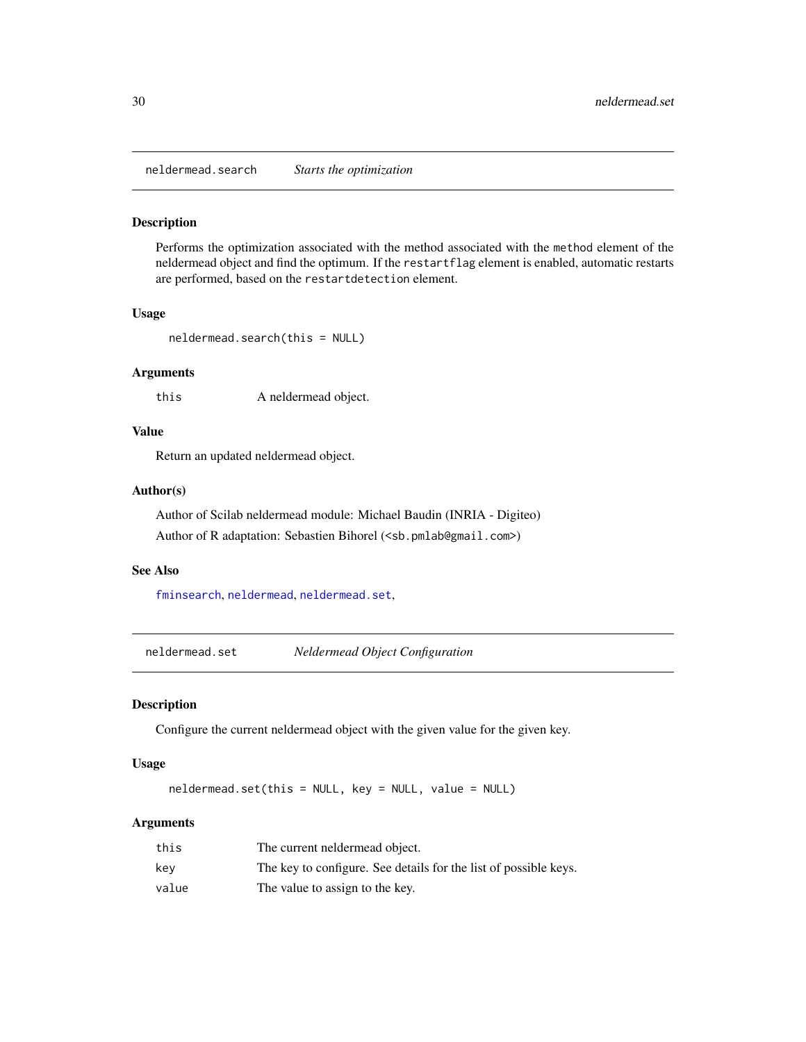<span id="page-29-2"></span><span id="page-29-0"></span>neldermead.search *Starts the optimization*

#### Description

Performs the optimization associated with the method associated with the method element of the neldermead object and find the optimum. If the restartflag element is enabled, automatic restarts are performed, based on the restartdetection element.

### Usage

```
neldermead.search(this = NULL)
```
# Arguments

this A neldermead object.

# Value

Return an updated neldermead object.

# Author(s)

Author of Scilab neldermead module: Michael Baudin (INRIA - Digiteo) Author of R adaptation: Sebastien Bihorel (<sb.pmlab@gmail.com>)

#### See Also

[fminsearch](#page-10-1), [neldermead](#page-16-1), [neldermead.set](#page-29-1),

<span id="page-29-1"></span>neldermead.set *Neldermead Object Configuration*

#### Description

Configure the current neldermead object with the given value for the given key.

# Usage

neldermead.set(this = NULL, key = NULL, value = NULL)

#### Arguments

| this  | The current neldermead object.                                   |
|-------|------------------------------------------------------------------|
| kev   | The key to configure. See details for the list of possible keys. |
| value | The value to assign to the key.                                  |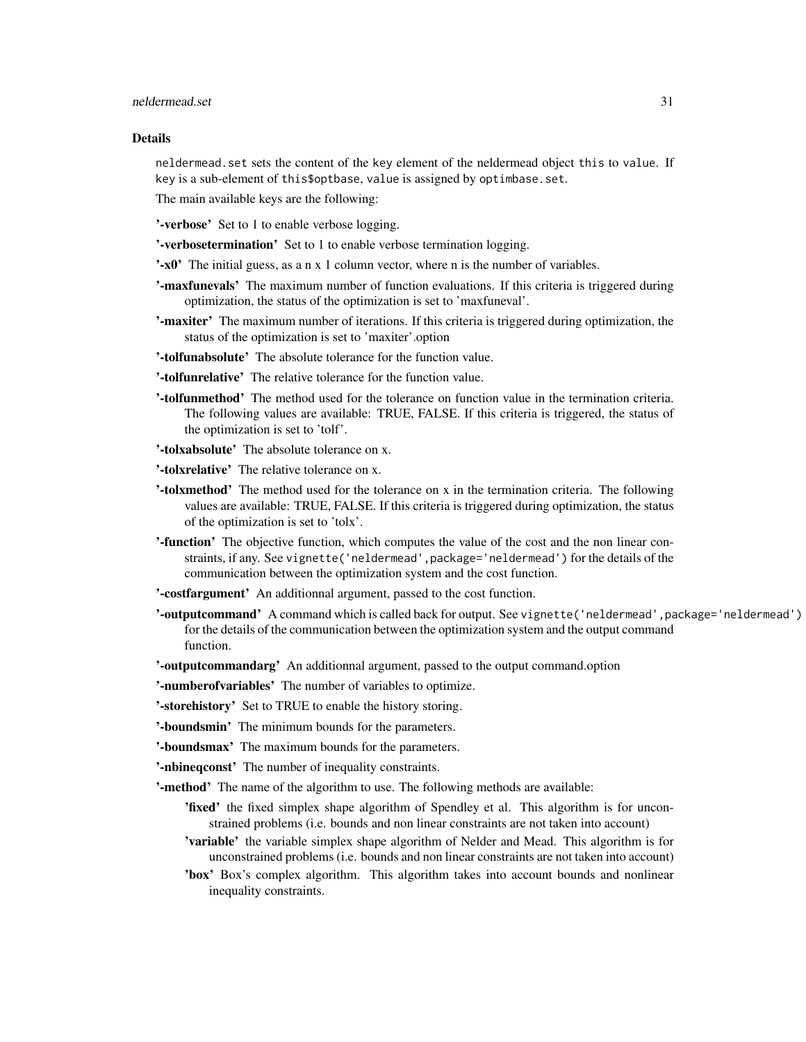# Details

neldermead.set sets the content of the key element of the neldermead object this to value. If key is a sub-element of this\$optbase, value is assigned by optimbase.set.

The main available keys are the following:

'-verbose' Set to 1 to enable verbose logging.

'-verbosetermination' Set to 1 to enable verbose termination logging.

'-x0' The initial guess, as a n x 1 column vector, where n is the number of variables.

- **'-maxfunevals'** The maximum number of function evaluations. If this criteria is triggered during optimization, the status of the optimization is set to 'maxfuneval'.
- '-maxiter' The maximum number of iterations. If this criteria is triggered during optimization, the status of the optimization is set to 'maxiter'.option

'-tolfunabsolute' The absolute tolerance for the function value.

'-tolfunrelative' The relative tolerance for the function value.

- '-tolfunmethod' The method used for the tolerance on function value in the termination criteria. The following values are available: TRUE, FALSE. If this criteria is triggered, the status of the optimization is set to 'tolf'.
- '-tolxabsolute' The absolute tolerance on x.

'-tolxrelative' The relative tolerance on x.

- '-tolxmethod' The method used for the tolerance on x in the termination criteria. The following values are available: TRUE, FALSE. If this criteria is triggered during optimization, the status of the optimization is set to 'tolx'.
- '-function' The objective function, which computes the value of the cost and the non linear constraints, if any. See vignette('neldermead',package='neldermead') for the details of the communication between the optimization system and the cost function.

'-costfargument' An additionnal argument, passed to the cost function.

'-outputcommand' A command which is called back for output. See vignette('neldermead', package='neldermead') for the details of the communication between the optimization system and the output command function.

'-outputcommandarg' An additionnal argument, passed to the output command.option

'-numberofvariables' The number of variables to optimize.

'-storehistory' Set to TRUE to enable the history storing.

- '-boundsmin' The minimum bounds for the parameters.
- '-boundsmax' The maximum bounds for the parameters.
- '-nbineqconst' The number of inequality constraints.

'-method' The name of the algorithm to use. The following methods are available:

- 'fixed' the fixed simplex shape algorithm of Spendley et al. This algorithm is for unconstrained problems (i.e. bounds and non linear constraints are not taken into account)
- 'variable' the variable simplex shape algorithm of Nelder and Mead. This algorithm is for unconstrained problems (i.e. bounds and non linear constraints are not taken into account)
- 'box' Box's complex algorithm. This algorithm takes into account bounds and nonlinear inequality constraints.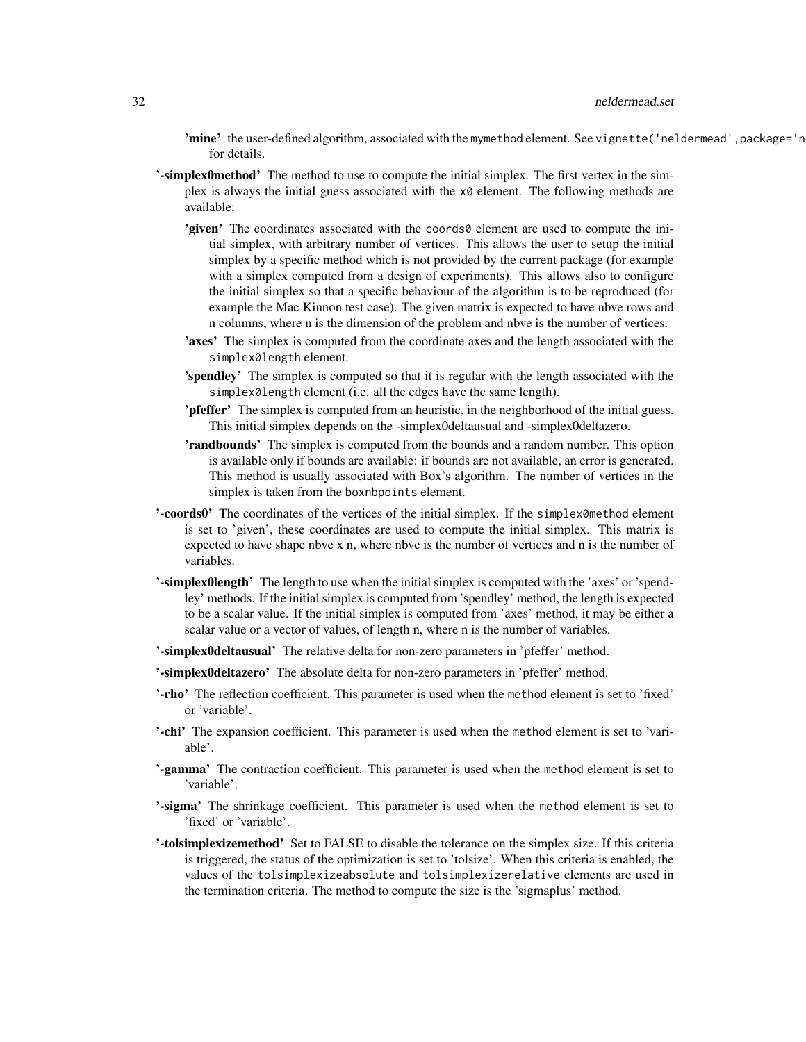# 32 neldermead.set

- 'mine' the user-defined algorithm, associated with the mymethod element. See vignette ('neldermead', package='n for details.
- **'-simplex0method'** The method to use to compute the initial simplex. The first vertex in the simplex is always the initial guess associated with the  $x\theta$  element. The following methods are available:
	- 'given' The coordinates associated with the coords0 element are used to compute the initial simplex, with arbitrary number of vertices. This allows the user to setup the initial simplex by a specific method which is not provided by the current package (for example with a simplex computed from a design of experiments). This allows also to configure the initial simplex so that a specific behaviour of the algorithm is to be reproduced (for example the Mac Kinnon test case). The given matrix is expected to have nbve rows and n columns, where n is the dimension of the problem and nbve is the number of vertices.
	- 'axes' The simplex is computed from the coordinate axes and the length associated with the simplex0length element.
	- 'spendley' The simplex is computed so that it is regular with the length associated with the simplex0length element (i.e. all the edges have the same length).
	- '**pfeffer'** The simplex is computed from an heuristic, in the neighborhood of the initial guess. This initial simplex depends on the -simplex0deltausual and -simplex0deltazero.
	- 'randbounds' The simplex is computed from the bounds and a random number. This option is available only if bounds are available: if bounds are not available, an error is generated. This method is usually associated with Box's algorithm. The number of vertices in the simplex is taken from the boxnbpoints element.
- '-coords0' The coordinates of the vertices of the initial simplex. If the simplex0method element is set to 'given', these coordinates are used to compute the initial simplex. This matrix is expected to have shape nbve x n, where nbve is the number of vertices and n is the number of variables.
- '-simplex0length' The length to use when the initial simplex is computed with the 'axes' or 'spendley' methods. If the initial simplex is computed from 'spendley' method, the length is expected to be a scalar value. If the initial simplex is computed from 'axes' method, it may be either a scalar value or a vector of values, of length n, where n is the number of variables.
- '-simplex0deltausual' The relative delta for non-zero parameters in 'pfeffer' method.
- '-simplex0deltazero' The absolute delta for non-zero parameters in 'pfeffer' method.
- '-rho' The reflection coefficient. This parameter is used when the method element is set to 'fixed' or 'variable'.
- '-chi' The expansion coefficient. This parameter is used when the method element is set to 'variable'.
- '-gamma' The contraction coefficient. This parameter is used when the method element is set to 'variable'.
- **Exammerally** The shrinkage coefficient. This parameter is used when the method element is set to 'fixed' or 'variable'.
- '-tolsimplexizemethod' Set to FALSE to disable the tolerance on the simplex size. If this criteria is triggered, the status of the optimization is set to 'tolsize'. When this criteria is enabled, the values of the tolsimplexizeabsolute and tolsimplexizerelative elements are used in the termination criteria. The method to compute the size is the 'sigmaplus' method.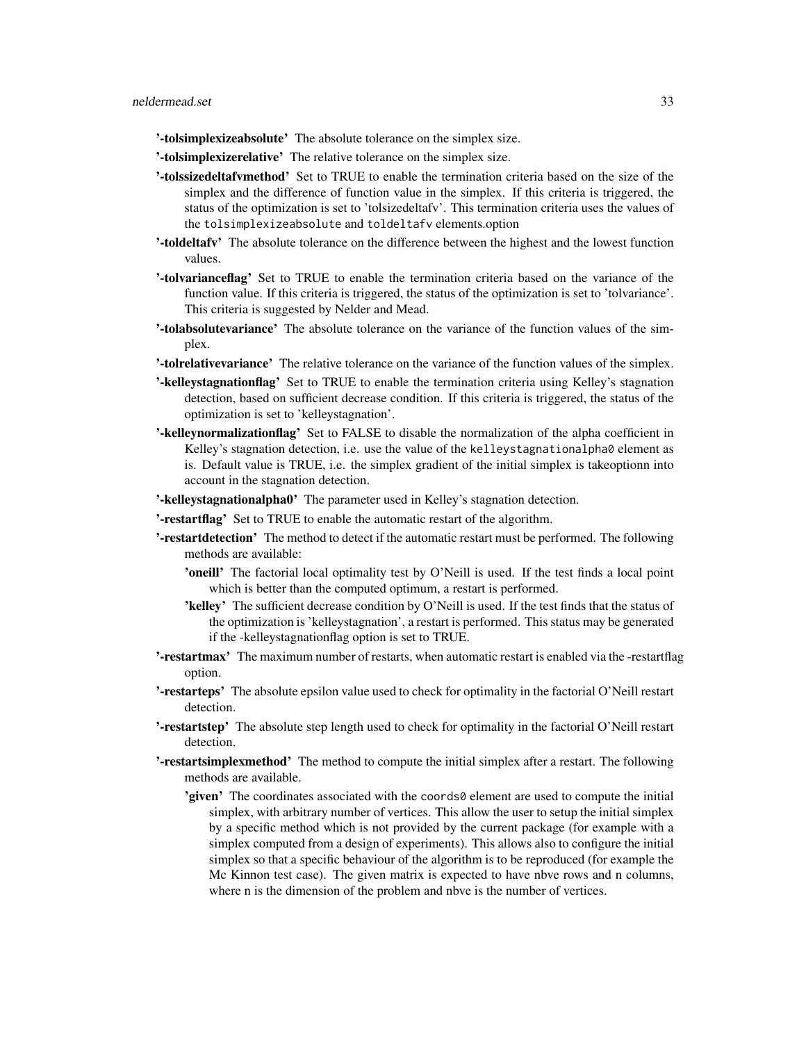- '-tolsimplexizeabsolute' The absolute tolerance on the simplex size.
- '-tolsimplexizerelative' The relative tolerance on the simplex size.
- '-tolssizedeltafvmethod' Set to TRUE to enable the termination criteria based on the size of the simplex and the difference of function value in the simplex. If this criteria is triggered, the status of the optimization is set to 'tolsizedeltafv'. This termination criteria uses the values of the tolsimplexizeabsolute and toldeltafv elements.option
- '-toldeltafv' The absolute tolerance on the difference between the highest and the lowest function values.
- '-tolvarianceflag' Set to TRUE to enable the termination criteria based on the variance of the function value. If this criteria is triggered, the status of the optimization is set to 'tolvariance'. This criteria is suggested by Nelder and Mead.
- '-tolabsolutevariance' The absolute tolerance on the variance of the function values of the simplex.
- '-tolrelativevariance' The relative tolerance on the variance of the function values of the simplex.
- '-kelleystagnationflag' Set to TRUE to enable the termination criteria using Kelley's stagnation detection, based on sufficient decrease condition. If this criteria is triggered, the status of the optimization is set to 'kelleystagnation'.
- '-kelleynormalizationflag' Set to FALSE to disable the normalization of the alpha coefficient in Kelley's stagnation detection, i.e. use the value of the kelleystagnationalpha0 element as is. Default value is TRUE, i.e. the simplex gradient of the initial simplex is takeoptionn into account in the stagnation detection.
- '-kelleystagnationalpha0' The parameter used in Kelley's stagnation detection.
- '-restartflag' Set to TRUE to enable the automatic restart of the algorithm.
- '-restartdetection' The method to detect if the automatic restart must be performed. The following methods are available:
	- 'oneill' The factorial local optimality test by O'Neill is used. If the test finds a local point which is better than the computed optimum, a restart is performed.
	- 'kelley' The sufficient decrease condition by O'Neill is used. If the test finds that the status of the optimization is 'kelleystagnation', a restart is performed. This status may be generated if the -kelleystagnationflag option is set to TRUE.
- '-restartmax' The maximum number of restarts, when automatic restart is enabled via the -restartflag option.
- '-restarteps' The absolute epsilon value used to check for optimality in the factorial O'Neill restart detection.
- '-restartstep' The absolute step length used to check for optimality in the factorial O'Neill restart detection.
- '-restartsimplexmethod' The method to compute the initial simplex after a restart. The following methods are available.
	- 'given' The coordinates associated with the coords0 element are used to compute the initial simplex, with arbitrary number of vertices. This allow the user to setup the initial simplex by a specific method which is not provided by the current package (for example with a simplex computed from a design of experiments). This allows also to configure the initial simplex so that a specific behaviour of the algorithm is to be reproduced (for example the Mc Kinnon test case). The given matrix is expected to have nbve rows and n columns, where n is the dimension of the problem and nbve is the number of vertices.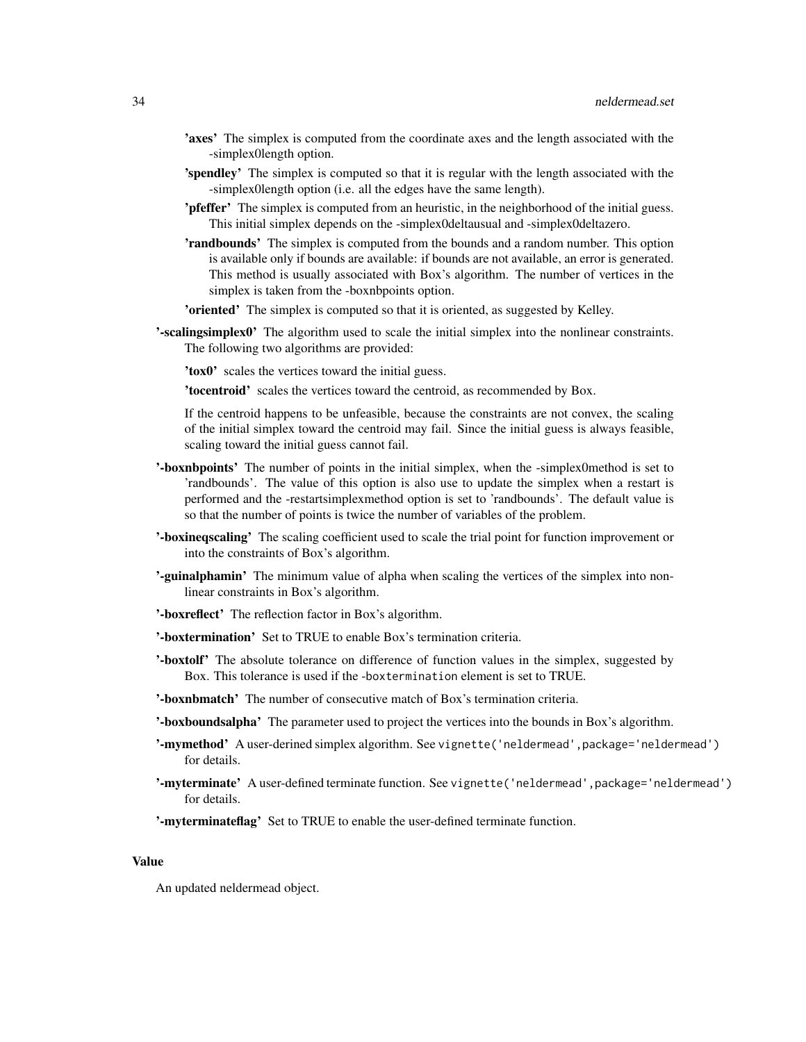- 'axes' The simplex is computed from the coordinate axes and the length associated with the -simplex0length option.
- 'spendley' The simplex is computed so that it is regular with the length associated with the -simplex0length option (i.e. all the edges have the same length).
- **'pfeffer'** The simplex is computed from an heuristic, in the neighborhood of the initial guess. This initial simplex depends on the -simplex0deltausual and -simplex0deltazero.
- 'randbounds' The simplex is computed from the bounds and a random number. This option is available only if bounds are available: if bounds are not available, an error is generated. This method is usually associated with Box's algorithm. The number of vertices in the simplex is taken from the -boxnbpoints option.
- **'oriented'** The simplex is computed so that it is oriented, as suggested by Kelley.
- '-scalingsimplex0' The algorithm used to scale the initial simplex into the nonlinear constraints. The following two algorithms are provided:

'tox0' scales the vertices toward the initial guess.

'tocentroid' scales the vertices toward the centroid, as recommended by Box.

If the centroid happens to be unfeasible, because the constraints are not convex, the scaling of the initial simplex toward the centroid may fail. Since the initial guess is always feasible, scaling toward the initial guess cannot fail.

- '-boxnbpoints' The number of points in the initial simplex, when the -simplex0method is set to 'randbounds'. The value of this option is also use to update the simplex when a restart is performed and the -restartsimplexmethod option is set to 'randbounds'. The default value is so that the number of points is twice the number of variables of the problem.
- '-boxineqscaling' The scaling coefficient used to scale the trial point for function improvement or into the constraints of Box's algorithm.
- '-guinalphamin' The minimum value of alpha when scaling the vertices of the simplex into nonlinear constraints in Box's algorithm.
- '-boxreflect' The reflection factor in Box's algorithm.
- '-boxtermination' Set to TRUE to enable Box's termination criteria.
- '-boxtolf' The absolute tolerance on difference of function values in the simplex, suggested by Box. This tolerance is used if the -boxtermination element is set to TRUE.
- '-boxnbmatch' The number of consecutive match of Box's termination criteria.
- '-boxboundsalpha' The parameter used to project the vertices into the bounds in Box's algorithm.
- '-mymethod' A user-derined simplex algorithm. See vignette('neldermead', package='neldermead') for details.
- '-myterminate' A user-defined terminate function. See vignette('neldermead',package='neldermead') for details.

'-myterminateflag' Set to TRUE to enable the user-defined terminate function.

# Value

An updated neldermead object.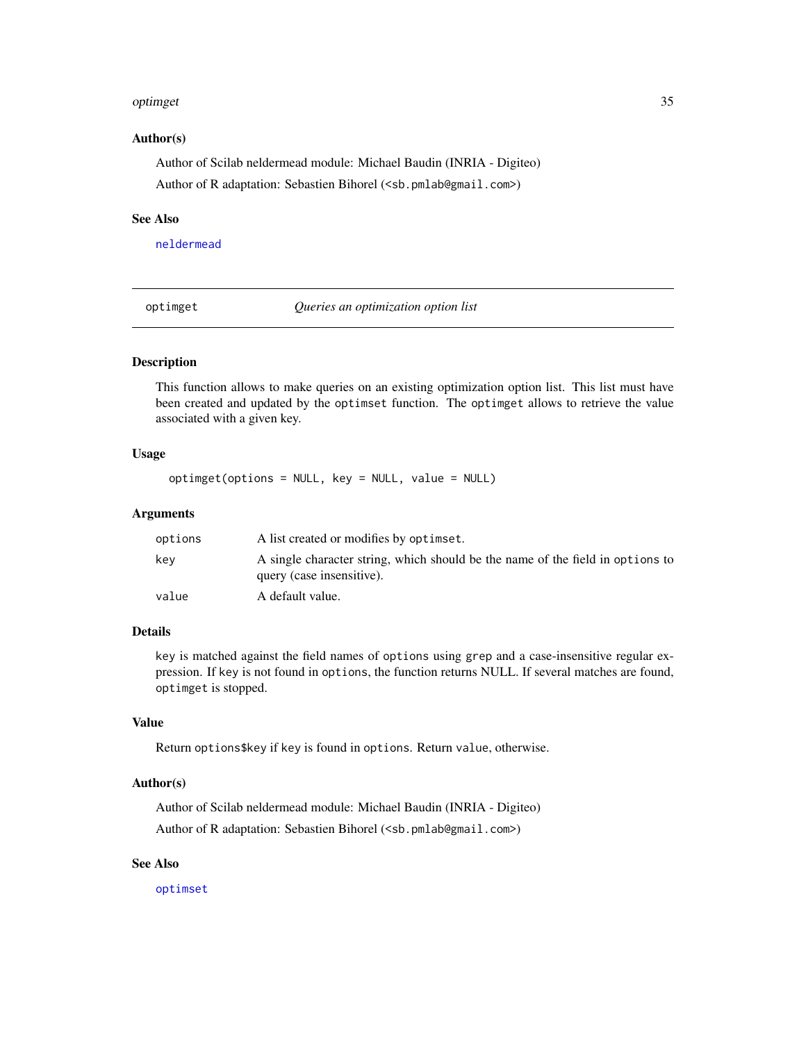#### <span id="page-34-0"></span>optimget 35

#### Author(s)

Author of Scilab neldermead module: Michael Baudin (INRIA - Digiteo) Author of R adaptation: Sebastien Bihorel (<sb.pmlab@gmail.com>)

# See Also

[neldermead](#page-16-1)

optimget *Queries an optimization option list*

# Description

This function allows to make queries on an existing optimization option list. This list must have been created and updated by the optimset function. The optimget allows to retrieve the value associated with a given key.

#### Usage

optimget(options = NULL, key = NULL, value = NULL)

#### Arguments

| options | A list created or modifies by optimset.                                                                     |
|---------|-------------------------------------------------------------------------------------------------------------|
| kev     | A single character string, which should be the name of the field in options to<br>query (case insensitive). |
| value   | A default value.                                                                                            |

#### Details

key is matched against the field names of options using grep and a case-insensitive regular expression. If key is not found in options, the function returns NULL. If several matches are found, optimget is stopped.

# Value

Return options\$key if key is found in options. Return value, otherwise.

#### Author(s)

Author of Scilab neldermead module: Michael Baudin (INRIA - Digiteo) Author of R adaptation: Sebastien Bihorel (<sb.pmlab@gmail.com>)

# See Also

[optimset](#page-35-1)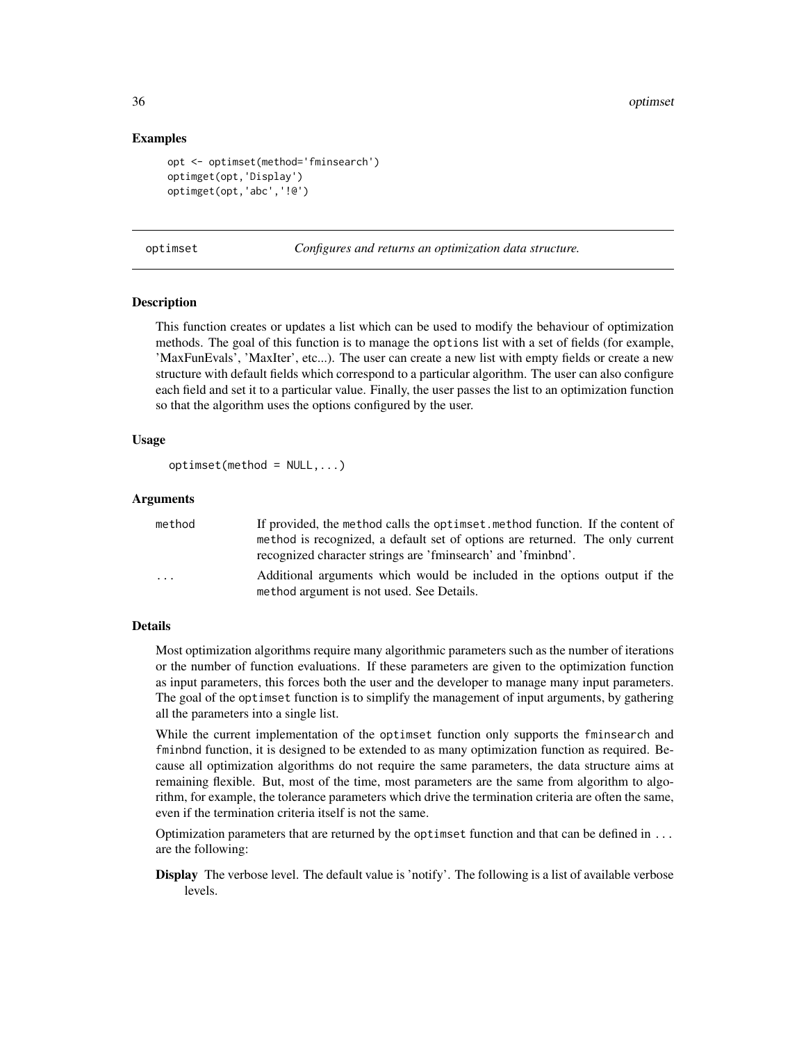# Examples

```
opt <- optimset(method='fminsearch')
optimget(opt,'Display')
optimget(opt,'abc','!@')
```
<span id="page-35-1"></span>optimset *Configures and returns an optimization data structure.*

#### Description

This function creates or updates a list which can be used to modify the behaviour of optimization methods. The goal of this function is to manage the options list with a set of fields (for example, 'MaxFunEvals', 'MaxIter', etc...). The user can create a new list with empty fields or create a new structure with default fields which correspond to a particular algorithm. The user can also configure each field and set it to a particular value. Finally, the user passes the list to an optimization function so that the algorithm uses the options configured by the user.

# Usage

```
optimset(method = NULL, ...)
```
#### Arguments

| method                  | If provided, the method calls the optimized method function. If the content of |
|-------------------------|--------------------------------------------------------------------------------|
|                         | method is recognized, a default set of options are returned. The only current  |
|                         | recognized character strings are 'fminsearch' and 'fminbnd'.                   |
| $\cdot$ $\cdot$ $\cdot$ | Additional arguments which would be included in the options output if the      |
|                         | method argument is not used. See Details.                                      |

#### Details

Most optimization algorithms require many algorithmic parameters such as the number of iterations or the number of function evaluations. If these parameters are given to the optimization function as input parameters, this forces both the user and the developer to manage many input parameters. The goal of the optimset function is to simplify the management of input arguments, by gathering all the parameters into a single list.

While the current implementation of the optimset function only supports the fminsearch and fminbnd function, it is designed to be extended to as many optimization function as required. Because all optimization algorithms do not require the same parameters, the data structure aims at remaining flexible. But, most of the time, most parameters are the same from algorithm to algorithm, for example, the tolerance parameters which drive the termination criteria are often the same, even if the termination criteria itself is not the same.

Optimization parameters that are returned by the optimset function and that can be defined in ... are the following:

Display The verbose level. The default value is 'notify'. The following is a list of available verbose levels.

<span id="page-35-0"></span>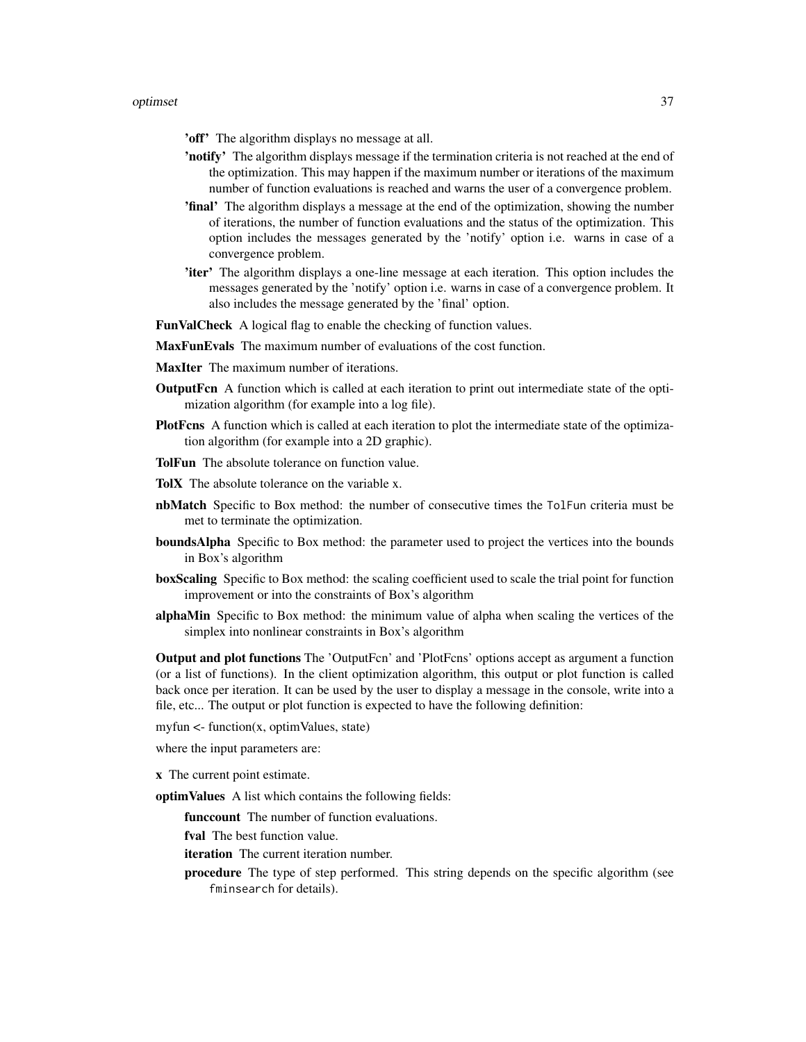'off' The algorithm displays no message at all.

- 'notify' The algorithm displays message if the termination criteria is not reached at the end of the optimization. This may happen if the maximum number or iterations of the maximum number of function evaluations is reached and warns the user of a convergence problem.
- 'final' The algorithm displays a message at the end of the optimization, showing the number of iterations, the number of function evaluations and the status of the optimization. This option includes the messages generated by the 'notify' option i.e. warns in case of a convergence problem.
- 'iter' The algorithm displays a one-line message at each iteration. This option includes the messages generated by the 'notify' option i.e. warns in case of a convergence problem. It also includes the message generated by the 'final' option.
- FunValCheck A logical flag to enable the checking of function values.
- MaxFunEvals The maximum number of evaluations of the cost function.
- MaxIter The maximum number of iterations.
- **OutputFcn** A function which is called at each iteration to print out intermediate state of the optimization algorithm (for example into a log file).
- PlotFcns A function which is called at each iteration to plot the intermediate state of the optimization algorithm (for example into a 2D graphic).
- TolFun The absolute tolerance on function value.
- TolX The absolute tolerance on the variable x.
- nbMatch Specific to Box method: the number of consecutive times the TolFun criteria must be met to terminate the optimization.
- boundsAlpha Specific to Box method: the parameter used to project the vertices into the bounds in Box's algorithm
- boxScaling Specific to Box method: the scaling coefficient used to scale the trial point for function improvement or into the constraints of Box's algorithm
- alphaMin Specific to Box method: the minimum value of alpha when scaling the vertices of the simplex into nonlinear constraints in Box's algorithm

Output and plot functions The 'OutputFcn' and 'PlotFcns' options accept as argument a function (or a list of functions). In the client optimization algorithm, this output or plot function is called back once per iteration. It can be used by the user to display a message in the console, write into a file, etc... The output or plot function is expected to have the following definition:

myfun  $\leq$ - function $(x,$  optimValues, state)

where the input parameters are:

x The current point estimate.

- optimValues A list which contains the following fields:
	- funccount The number of function evaluations.
	- fval The best function value.
	- iteration The current iteration number.
	- procedure The type of step performed. This string depends on the specific algorithm (see fminsearch for details).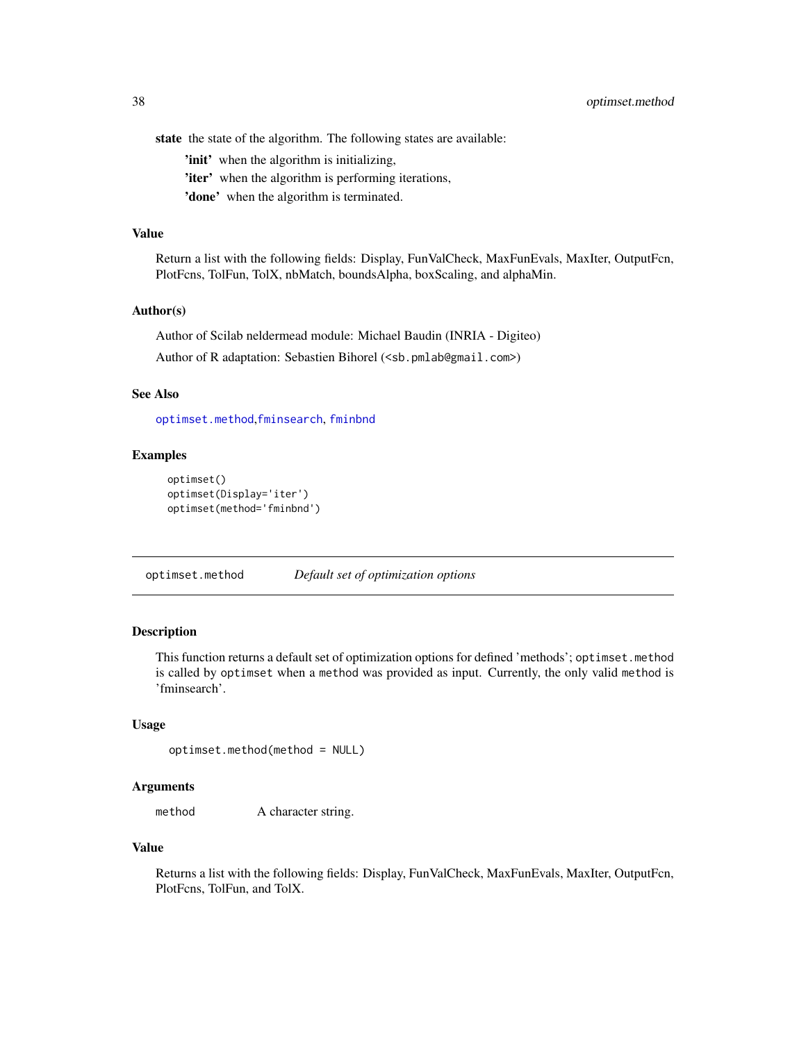<span id="page-37-0"></span>state the state of the algorithm. The following states are available:

'init' when the algorithm is initializing,

'iter' when the algorithm is performing iterations,

'done' when the algorithm is terminated.

#### Value

Return a list with the following fields: Display, FunValCheck, MaxFunEvals, MaxIter, OutputFcn, PlotFcns, TolFun, TolX, nbMatch, boundsAlpha, boxScaling, and alphaMin.

# Author(s)

Author of Scilab neldermead module: Michael Baudin (INRIA - Digiteo) Author of R adaptation: Sebastien Bihorel (<sb.pmlab@gmail.com>)

# See Also

[optimset.method](#page-37-1),[fminsearch](#page-10-1), [fminbnd](#page-5-1)

# Examples

```
optimset()
optimset(Display='iter')
optimset(method='fminbnd')
```
<span id="page-37-1"></span>optimset.method *Default set of optimization options*

#### Description

This function returns a default set of optimization options for defined 'methods'; optimset.method is called by optimset when a method was provided as input. Currently, the only valid method is 'fminsearch'.

#### Usage

```
optimset.method(method = NULL)
```
#### Arguments

method A character string.

# Value

Returns a list with the following fields: Display, FunValCheck, MaxFunEvals, MaxIter, OutputFcn, PlotFcns, TolFun, and TolX.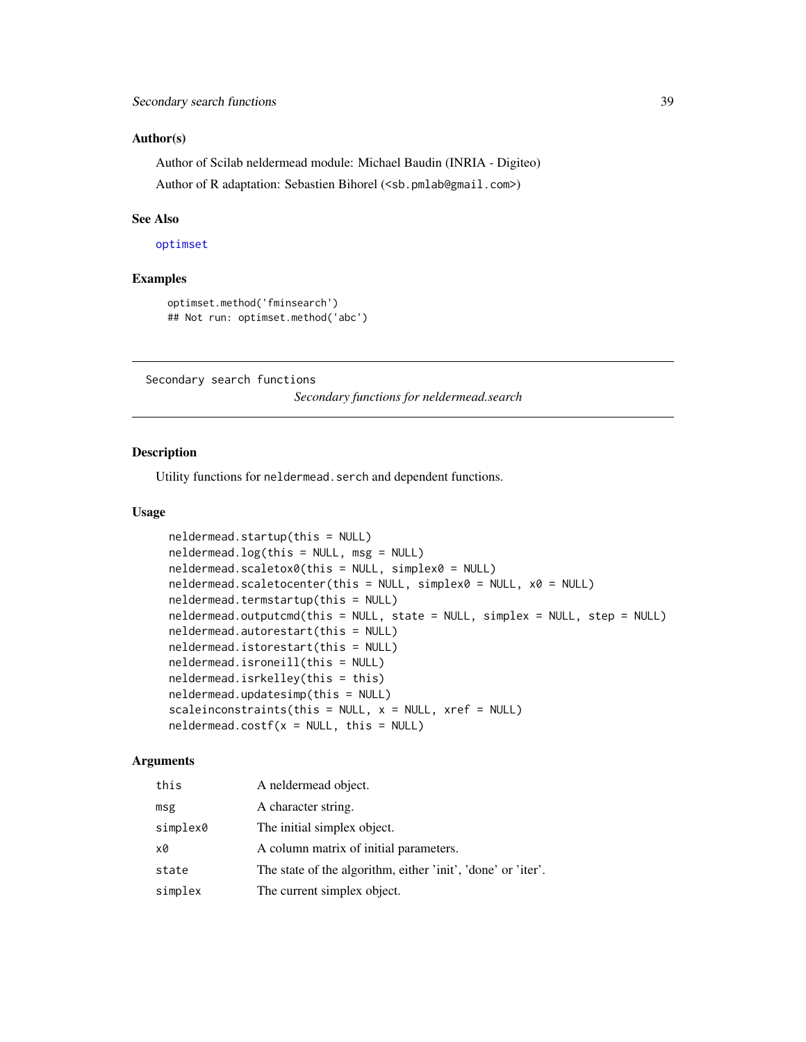#### <span id="page-38-0"></span>Author(s)

Author of Scilab neldermead module: Michael Baudin (INRIA - Digiteo) Author of R adaptation: Sebastien Bihorel (<sb.pmlab@gmail.com>)

#### See Also

[optimset](#page-35-1)

#### Examples

```
optimset.method('fminsearch')
## Not run: optimset.method('abc')
```
Secondary search functions

*Secondary functions for neldermead.search*

# <span id="page-38-1"></span>Description

Utility functions for neldermead.serch and dependent functions.

#### Usage

```
neldermead.startup(this = NULL)
neldermead.log(this = NULL, msg = NULL)
neldermead.scaletox0(this = NULL, simplex0 = NULL)
neldermead.scaletocenter(this = NULL, simplex0 = NULL, x0 = NULL)
neldermead.termstartup(this = NULL)
neldermead.outputcmd(this = NULL, state = NULL, simplex = NULL, step = NULL)
neldermead.autorestart(this = NULL)
neldermead.istorestart(this = NULL)
neldermead.isroneill(this = NULL)
neldermead.isrkelley(this = this)
neldermead.updatesimp(this = NULL)
scaleinconstraints(this = NULL, x = NULL, xref = NULL)
neldermed.costf(x = NULL, this = NULL)
```
# Arguments

| this     | A neldermead object.                                         |
|----------|--------------------------------------------------------------|
| msg      | A character string.                                          |
| simplex0 | The initial simplex object.                                  |
| x0       | A column matrix of initial parameters.                       |
| state    | The state of the algorithm, either 'init', 'done' or 'iter'. |
| simplex  | The current simplex object.                                  |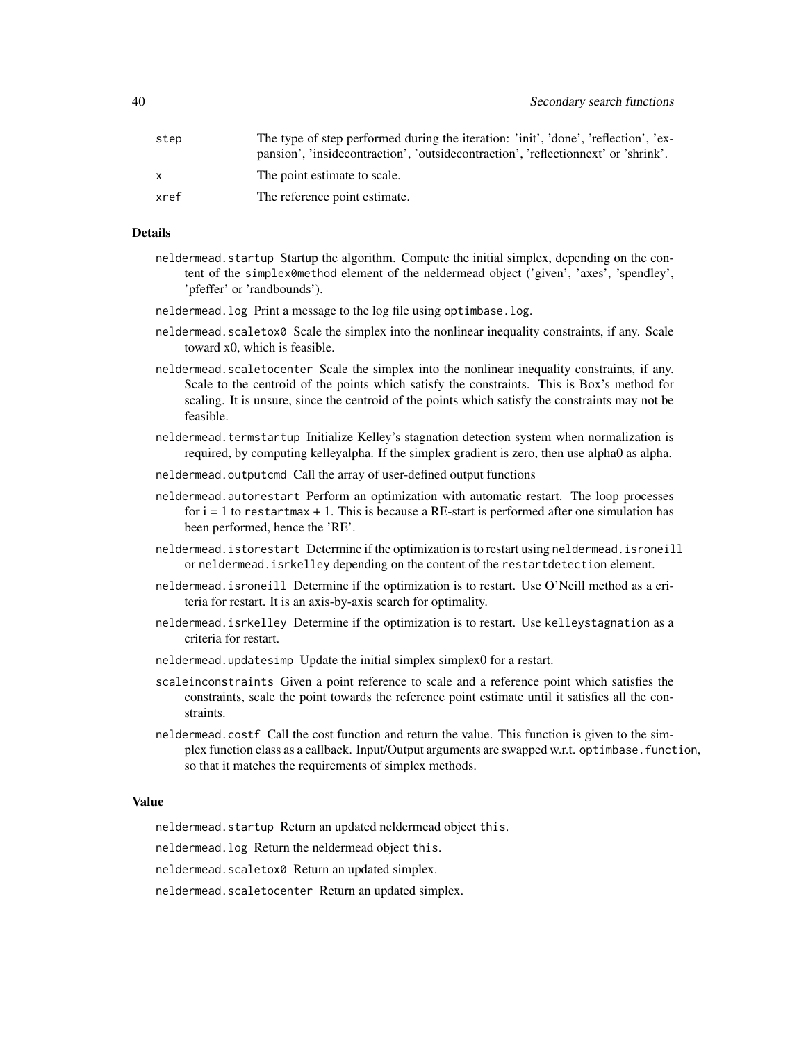| step | The type of step performed during the iteration: 'init', 'done', 'reflection', 'ex- |
|------|-------------------------------------------------------------------------------------|
|      | pansion', 'insidecontraction', 'outsidecontraction', 'reflectionnext' or 'shrink'.  |
|      | The point estimate to scale.                                                        |
| xref | The reference point estimate.                                                       |
|      |                                                                                     |

#### Details

- neldermead.startup Startup the algorithm. Compute the initial simplex, depending on the content of the simplex0method element of the neldermead object ('given', 'axes', 'spendley', 'pfeffer' or 'randbounds').
- neldermead.log Print a message to the log file using optimbase.log.
- neldermead.scaletox0 Scale the simplex into the nonlinear inequality constraints, if any. Scale toward x0, which is feasible.
- neldermead.scaletocenter Scale the simplex into the nonlinear inequality constraints, if any. Scale to the centroid of the points which satisfy the constraints. This is Box's method for scaling. It is unsure, since the centroid of the points which satisfy the constraints may not be feasible.
- neldermead.termstartup Initialize Kelley's stagnation detection system when normalization is required, by computing kelleyalpha. If the simplex gradient is zero, then use alpha0 as alpha.
- neldermead.outputcmd Call the array of user-defined output functions
- neldermead.autorestart Perform an optimization with automatic restart. The loop processes for  $i = 1$  to restartmax  $+ 1$ . This is because a RE-start is performed after one simulation has been performed, hence the 'RE'.
- neldermead.istorestart Determine if the optimization is to restart using neldermead.isroneill or neldermead.isrkelley depending on the content of the restartdetection element.
- neldermead.isroneill Determine if the optimization is to restart. Use O'Neill method as a criteria for restart. It is an axis-by-axis search for optimality.
- neldermead.isrkelley Determine if the optimization is to restart. Use kelleystagnation as a criteria for restart.
- neldermead.updatesimp Update the initial simplex simplex0 for a restart.
- scaleinconstraints Given a point reference to scale and a reference point which satisfies the constraints, scale the point towards the reference point estimate until it satisfies all the constraints.
- neldermead.costf Call the cost function and return the value. This function is given to the simplex function class as a callback. Input/Output arguments are swapped w.r.t. optimbase.function, so that it matches the requirements of simplex methods.

#### Value

neldermead.startup Return an updated neldermead object this.

neldermead.log Return the neldermead object this.

neldermead.scaletox0 Return an updated simplex.

neldermead.scaletocenter Return an updated simplex.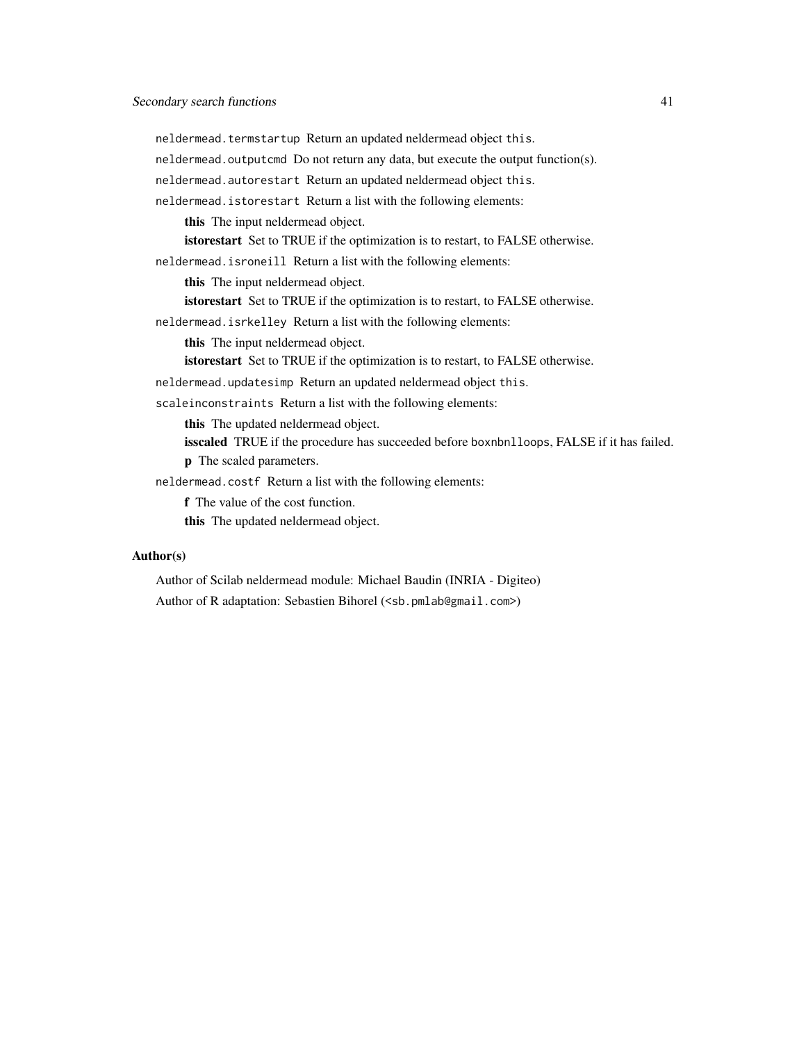neldermead.termstartup Return an updated neldermead object this.

neldermead.outputcmd Do not return any data, but execute the output function(s).

neldermead.autorestart Return an updated neldermead object this.

neldermead.istorestart Return a list with the following elements:

this The input neldermead object.

istorestart Set to TRUE if the optimization is to restart, to FALSE otherwise.

neldermead.isroneill Return a list with the following elements:

this The input neldermead object.

istorestart Set to TRUE if the optimization is to restart, to FALSE otherwise.

neldermead.isrkelley Return a list with the following elements:

this The input neldermead object.

istorestart Set to TRUE if the optimization is to restart, to FALSE otherwise.

neldermead.updatesimp Return an updated neldermead object this.

scaleinconstraints Return a list with the following elements:

this The updated neldermead object.

isscaled TRUE if the procedure has succeeded before boxnbnlloops, FALSE if it has failed. p The scaled parameters.

neldermead.costf Return a list with the following elements:

f The value of the cost function.

this The updated neldermead object.

# Author(s)

Author of Scilab neldermead module: Michael Baudin (INRIA - Digiteo) Author of R adaptation: Sebastien Bihorel (<sb.pmlab@gmail.com>)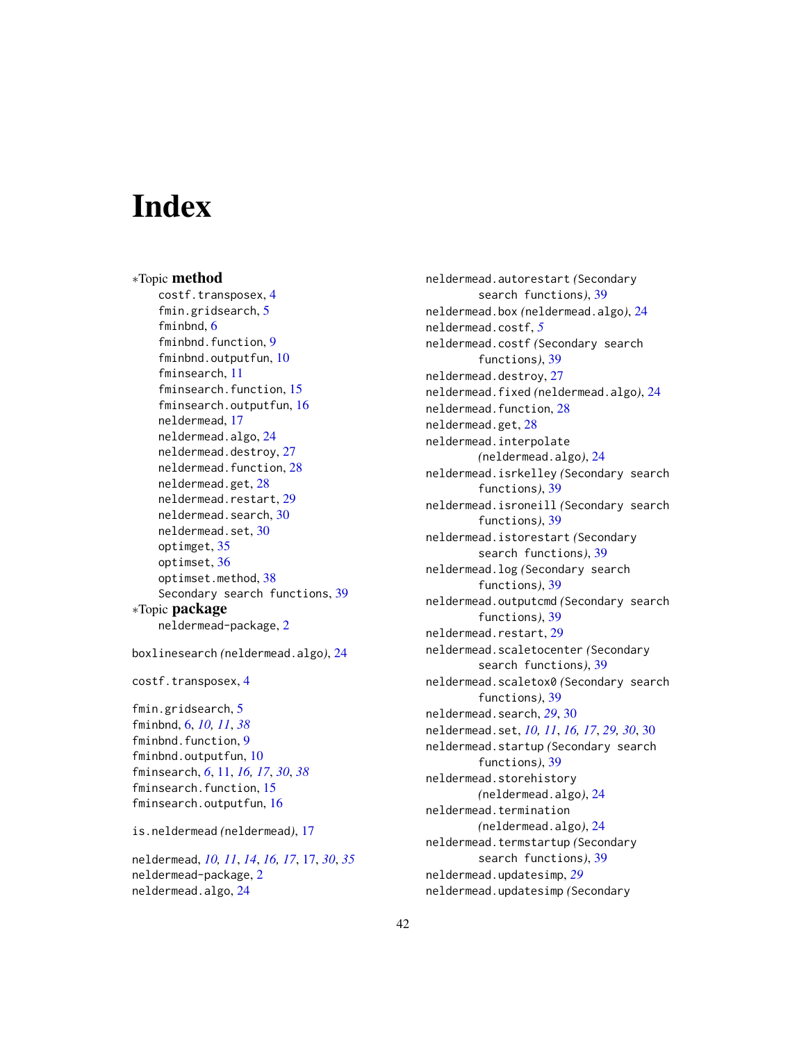# <span id="page-41-0"></span>**Index**

∗Topic method costf.transposex, [4](#page-3-0) fmin.gridsearch, [5](#page-4-0) fminbnd, [6](#page-5-0) fminbnd.function, [9](#page-8-0) fminbnd.outputfun, [10](#page-9-0) fminsearch, [11](#page-10-0) fminsearch.function, [15](#page-14-0) fminsearch.outputfun, [16](#page-15-0) neldermead, [17](#page-16-0) neldermead.algo, [24](#page-23-0) neldermead.destroy, [27](#page-26-0) neldermead.function, [28](#page-27-0) neldermead.get, [28](#page-27-0) neldermead.restart, [29](#page-28-0) neldermead.search, [30](#page-29-0) neldermead.set, [30](#page-29-0) optimget, [35](#page-34-0) optimset, [36](#page-35-0) optimset.method, [38](#page-37-0) Secondary search functions, [39](#page-38-0) ∗Topic package neldermead-package, [2](#page-1-0)

boxlinesearch *(*neldermead.algo*)*, [24](#page-23-0)

costf.transposex, [4](#page-3-0)

fmin.gridsearch, [5](#page-4-0) fminbnd, [6,](#page-5-0) *[10,](#page-9-0) [11](#page-10-0)*, *[38](#page-37-0)* fminbnd.function, [9](#page-8-0) fminbnd.outputfun, [10](#page-9-0) fminsearch, *[6](#page-5-0)*, [11,](#page-10-0) *[16,](#page-15-0) [17](#page-16-0)*, *[30](#page-29-0)*, *[38](#page-37-0)* fminsearch.function, [15](#page-14-0) fminsearch.outputfun, [16](#page-15-0)

is.neldermead *(*neldermead*)*, [17](#page-16-0)

neldermead, *[10,](#page-9-0) [11](#page-10-0)*, *[14](#page-13-0)*, *[16,](#page-15-0) [17](#page-16-0)*, [17,](#page-16-0) *[30](#page-29-0)*, *[35](#page-34-0)* neldermead-package, [2](#page-1-0) neldermead.algo, [24](#page-23-0)

neldermead.autorestart *(*Secondary search functions*)*, [39](#page-38-0) neldermead.box *(*neldermead.algo*)*, [24](#page-23-0) neldermead.costf, *[5](#page-4-0)* neldermead.costf *(*Secondary search functions*)*, [39](#page-38-0) neldermead.destroy, [27](#page-26-0) neldermead.fixed *(*neldermead.algo*)*, [24](#page-23-0) neldermead.function, [28](#page-27-0) neldermead.get, [28](#page-27-0) neldermead.interpolate *(*neldermead.algo*)*, [24](#page-23-0) neldermead.isrkelley *(*Secondary search functions*)*, [39](#page-38-0) neldermead.isroneill *(*Secondary search functions*)*, [39](#page-38-0) neldermead.istorestart *(*Secondary search functions*)*, [39](#page-38-0) neldermead.log *(*Secondary search functions*)*, [39](#page-38-0) neldermead.outputcmd *(*Secondary search functions*)*, [39](#page-38-0) neldermead.restart, [29](#page-28-0) neldermead.scaletocenter *(*Secondary search functions*)*, [39](#page-38-0) neldermead.scaletox0 *(*Secondary search functions*)*, [39](#page-38-0) neldermead.search, *[29](#page-28-0)*, [30](#page-29-0) neldermead.set, *[10,](#page-9-0) [11](#page-10-0)*, *[16,](#page-15-0) [17](#page-16-0)*, *[29,](#page-28-0) [30](#page-29-0)*, [30](#page-29-0) neldermead.startup *(*Secondary search functions*)*, [39](#page-38-0) neldermead.storehistory *(*neldermead.algo*)*, [24](#page-23-0) neldermead.termination *(*neldermead.algo*)*, [24](#page-23-0) neldermead.termstartup *(*Secondary search functions*)*, [39](#page-38-0) neldermead.updatesimp, *[29](#page-28-0)* neldermead.updatesimp *(*Secondary